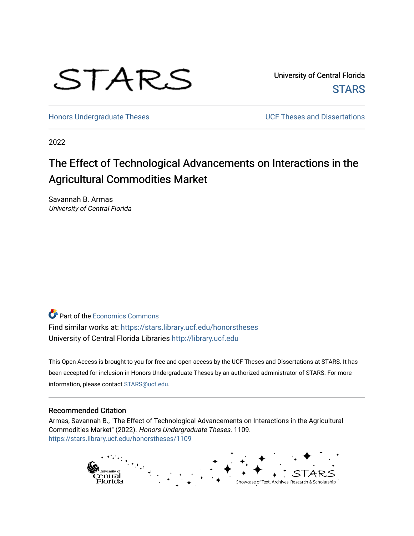

University of Central Florida **STARS** 

[Honors Undergraduate Theses](https://stars.library.ucf.edu/honorstheses) **No. 2018** UCF Theses and Dissertations

2022

# The Effect of Technological Advancements on Interactions in the Agricultural Commodities Market

Savannah B. Armas University of Central Florida

**P** Part of the [Economics Commons](https://network.bepress.com/hgg/discipline/340?utm_source=stars.library.ucf.edu%2Fhonorstheses%2F1109&utm_medium=PDF&utm_campaign=PDFCoverPages)

Find similar works at: <https://stars.library.ucf.edu/honorstheses> University of Central Florida Libraries [http://library.ucf.edu](http://library.ucf.edu/) 

This Open Access is brought to you for free and open access by the UCF Theses and Dissertations at STARS. It has been accepted for inclusion in Honors Undergraduate Theses by an authorized administrator of STARS. For more information, please contact [STARS@ucf.edu.](mailto:STARS@ucf.edu)

#### Recommended Citation

Armas, Savannah B., "The Effect of Technological Advancements on Interactions in the Agricultural Commodities Market" (2022). Honors Undergraduate Theses. 1109. [https://stars.library.ucf.edu/honorstheses/1109](https://stars.library.ucf.edu/honorstheses/1109?utm_source=stars.library.ucf.edu%2Fhonorstheses%2F1109&utm_medium=PDF&utm_campaign=PDFCoverPages)

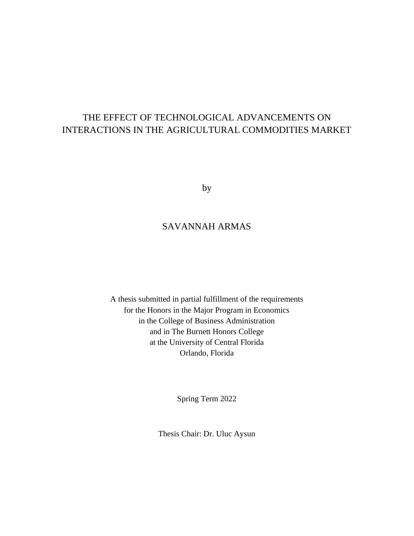## THE EFFECT OF TECHNOLOGICAL ADVANCEMENTS ON INTERACTIONS IN THE AGRICULTURAL COMMODITIES MARKET

by

### SAVANNAH ARMAS

A thesis submitted in partial fulfillment of the requirements for the Honors in the Major Program in Economics in the College of Business Administration and in The Burnett Honors College at the University of Central Florida Orlando, Florida

Spring Term 2022

Thesis Chair: Dr. Uluc Aysun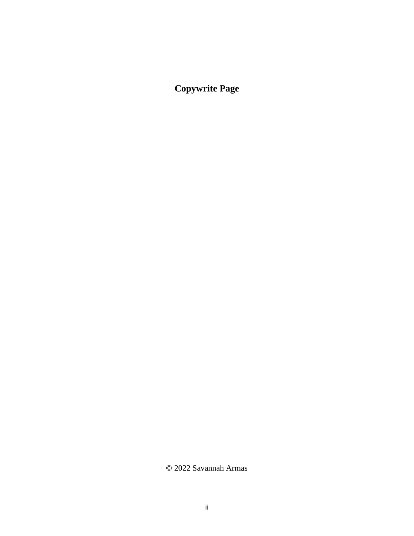**Copywrite Page**

© 2022 Savannah Armas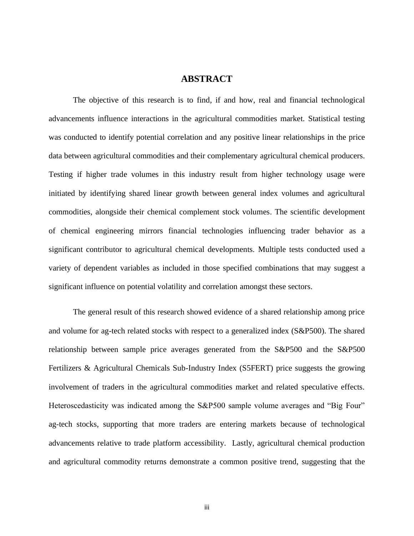#### **ABSTRACT**

The objective of this research is to find, if and how, real and financial technological advancements influence interactions in the agricultural commodities market. Statistical testing was conducted to identify potential correlation and any positive linear relationships in the price data between agricultural commodities and their complementary agricultural chemical producers. Testing if higher trade volumes in this industry result from higher technology usage were initiated by identifying shared linear growth between general index volumes and agricultural commodities, alongside their chemical complement stock volumes. The scientific development of chemical engineering mirrors financial technologies influencing trader behavior as a significant contributor to agricultural chemical developments. Multiple tests conducted used a variety of dependent variables as included in those specified combinations that may suggest a significant influence on potential volatility and correlation amongst these sectors.

The general result of this research showed evidence of a shared relationship among price and volume for ag-tech related stocks with respect to a generalized index (S&P500). The shared relationship between sample price averages generated from the S&P500 and the S&P500 Fertilizers & Agricultural Chemicals Sub-Industry Index (S5FERT) price suggests the growing involvement of traders in the agricultural commodities market and related speculative effects. Heteroscedasticity was indicated among the S&P500 sample volume averages and "Big Four" ag-tech stocks, supporting that more traders are entering markets because of technological advancements relative to trade platform accessibility. Lastly, agricultural chemical production and agricultural commodity returns demonstrate a common positive trend, suggesting that the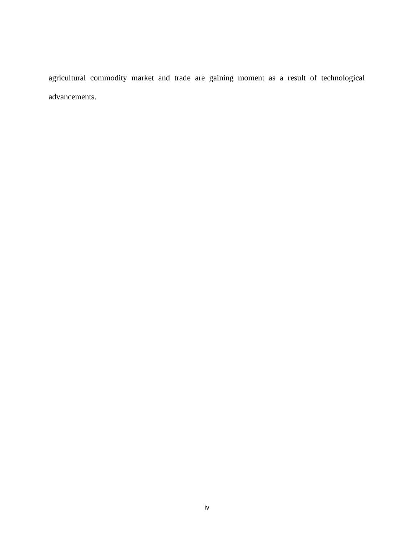agricultural commodity market and trade are gaining moment as a result of technological advancements.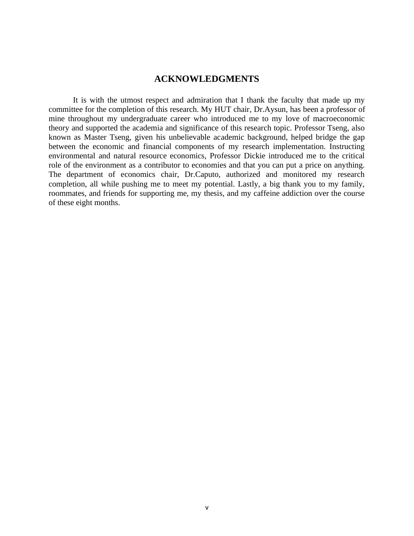#### **ACKNOWLEDGMENTS**

It is with the utmost respect and admiration that I thank the faculty that made up my committee for the completion of this research. My HUT chair, Dr.Aysun, has been a professor of mine throughout my undergraduate career who introduced me to my love of macroeconomic theory and supported the academia and significance of this research topic. Professor Tseng, also known as Master Tseng, given his unbelievable academic background, helped bridge the gap between the economic and financial components of my research implementation. Instructing environmental and natural resource economics, Professor Dickie introduced me to the critical role of the environment as a contributor to economies and that you can put a price on anything. The department of economics chair, Dr.Caputo, authorized and monitored my research completion, all while pushing me to meet my potential. Lastly, a big thank you to my family, roommates, and friends for supporting me, my thesis, and my caffeine addiction over the course of these eight months.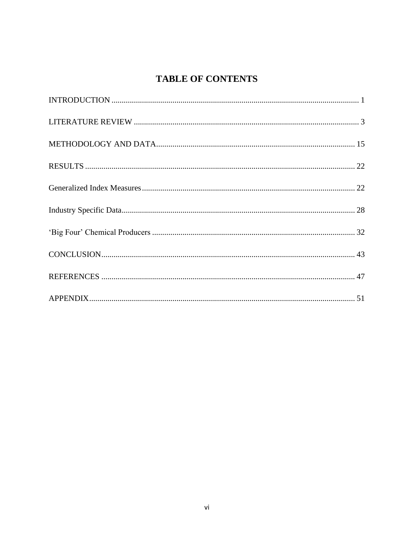## **TABLE OF CONTENTS**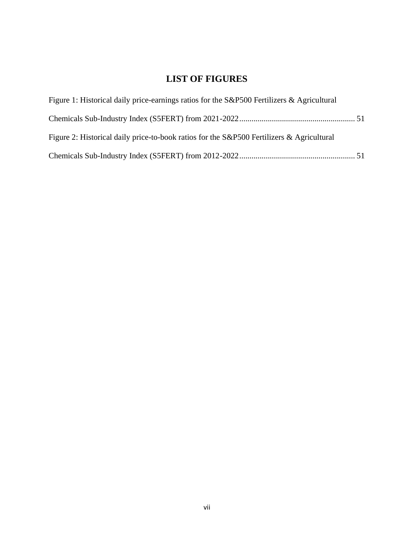## **LIST OF FIGURES**

| Figure 1: Historical daily price-earnings ratios for the S&P500 Fertilizers & Agricultural |  |
|--------------------------------------------------------------------------------------------|--|
|                                                                                            |  |
| Figure 2: Historical daily price-to-book ratios for the S&P500 Fertilizers & Agricultural  |  |
|                                                                                            |  |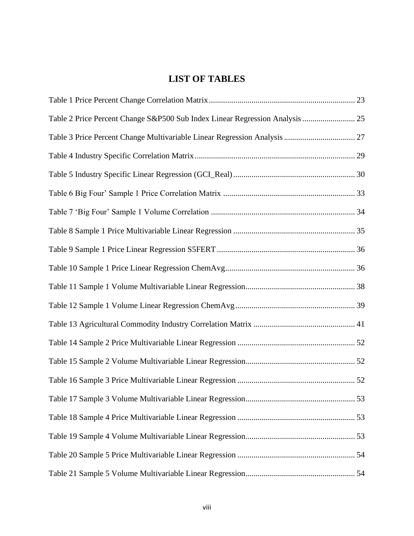## **LIST OF TABLES**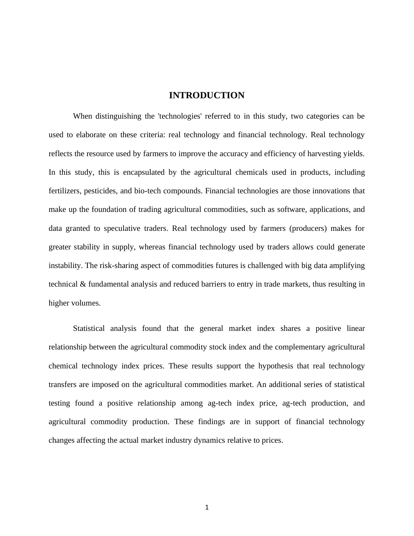#### **INTRODUCTION**

<span id="page-10-0"></span>When distinguishing the 'technologies' referred to in this study, two categories can be used to elaborate on these criteria: real technology and financial technology. Real technology reflects the resource used by farmers to improve the accuracy and efficiency of harvesting yields. In this study, this is encapsulated by the agricultural chemicals used in products, including fertilizers, pesticides, and bio-tech compounds. Financial technologies are those innovations that make up the foundation of trading agricultural commodities, such as software, applications, and data granted to speculative traders. Real technology used by farmers (producers) makes for greater stability in supply, whereas financial technology used by traders allows could generate instability. The risk-sharing aspect of commodities futures is challenged with big data amplifying technical & fundamental analysis and reduced barriers to entry in trade markets, thus resulting in higher volumes.

Statistical analysis found that the general market index shares a positive linear relationship between the agricultural commodity stock index and the complementary agricultural chemical technology index prices. These results support the hypothesis that real technology transfers are imposed on the agricultural commodities market. An additional series of statistical testing found a positive relationship among ag-tech index price, ag-tech production, and agricultural commodity production. These findings are in support of financial technology changes affecting the actual market industry dynamics relative to prices.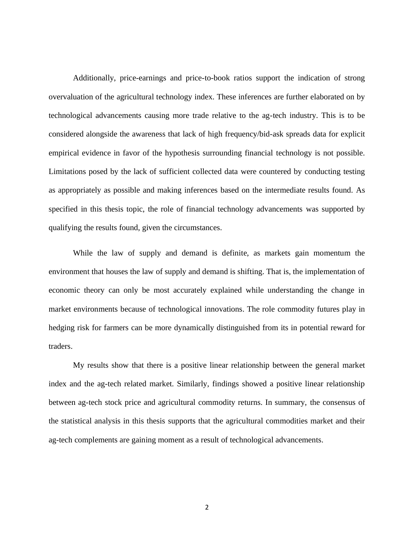Additionally, price-earnings and price-to-book ratios support the indication of strong overvaluation of the agricultural technology index. These inferences are further elaborated on by technological advancements causing more trade relative to the ag-tech industry. This is to be considered alongside the awareness that lack of high frequency/bid-ask spreads data for explicit empirical evidence in favor of the hypothesis surrounding financial technology is not possible. Limitations posed by the lack of sufficient collected data were countered by conducting testing as appropriately as possible and making inferences based on the intermediate results found. As specified in this thesis topic, the role of financial technology advancements was supported by qualifying the results found, given the circumstances.

While the law of supply and demand is definite, as markets gain momentum the environment that houses the law of supply and demand is shifting. That is, the implementation of economic theory can only be most accurately explained while understanding the change in market environments because of technological innovations. The role commodity futures play in hedging risk for farmers can be more dynamically distinguished from its in potential reward for traders.

My results show that there is a positive linear relationship between the general market index and the ag-tech related market. Similarly, findings showed a positive linear relationship between ag-tech stock price and agricultural commodity returns. In summary, the consensus of the statistical analysis in this thesis supports that the agricultural commodities market and their ag-tech complements are gaining moment as a result of technological advancements.

2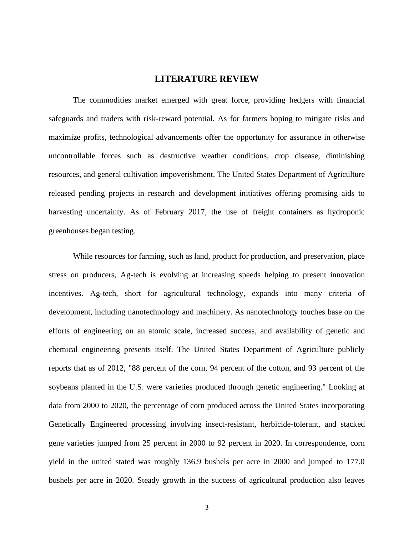#### **LITERATURE REVIEW**

<span id="page-12-0"></span>The commodities market emerged with great force, providing hedgers with financial safeguards and traders with risk-reward potential. As for farmers hoping to mitigate risks and maximize profits, technological advancements offer the opportunity for assurance in otherwise uncontrollable forces such as destructive weather conditions, crop disease, diminishing resources, and general cultivation impoverishment. The United States Department of Agriculture released pending projects in research and development initiatives offering promising aids to harvesting uncertainty. As of February 2017, the use of freight containers as hydroponic greenhouses began testing.

While resources for farming, such as land, product for production, and preservation, place stress on producers, Ag-tech is evolving at increasing speeds helping to present innovation incentives. Ag-tech, short for agricultural technology, expands into many criteria of development, including nanotechnology and machinery. As nanotechnology touches base on the efforts of engineering on an atomic scale, increased success, and availability of genetic and chemical engineering presents itself. The United States Department of Agriculture publicly reports that as of 2012, "88 percent of the corn, 94 percent of the cotton, and 93 percent of the soybeans planted in the U.S. were varieties produced through genetic engineering." Looking at data from 2000 to 2020, the percentage of corn produced across the United States incorporating Genetically Engineered processing involving insect-resistant, herbicide-tolerant, and stacked gene varieties jumped from 25 percent in 2000 to 92 percent in 2020. In correspondence, corn yield in the united stated was roughly 136.9 bushels per acre in 2000 and jumped to 177.0 bushels per acre in 2020. Steady growth in the success of agricultural production also leaves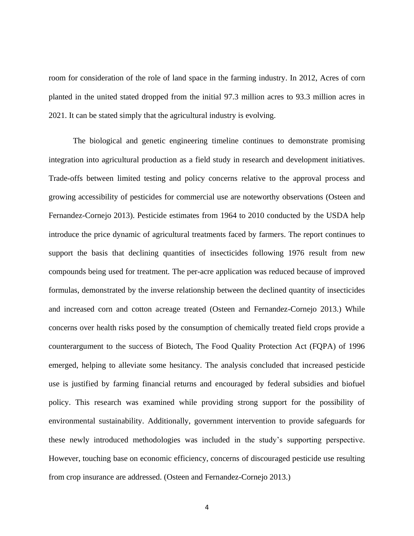room for consideration of the role of land space in the farming industry. In 2012, Acres of corn planted in the united stated dropped from the initial 97.3 million acres to 93.3 million acres in 2021. It can be stated simply that the agricultural industry is evolving.

The biological and genetic engineering timeline continues to demonstrate promising integration into agricultural production as a field study in research and development initiatives. Trade-offs between limited testing and policy concerns relative to the approval process and growing accessibility of pesticides for commercial use are noteworthy observations (Osteen and Fernandez-Cornejo 2013). Pesticide estimates from 1964 to 2010 conducted by the USDA help introduce the price dynamic of agricultural treatments faced by farmers. The report continues to support the basis that declining quantities of insecticides following 1976 result from new compounds being used for treatment. The per-acre application was reduced because of improved formulas, demonstrated by the inverse relationship between the declined quantity of insecticides and increased corn and cotton acreage treated (Osteen and Fernandez-Cornejo 2013.) While concerns over health risks posed by the consumption of chemically treated field crops provide a counterargument to the success of Biotech, The Food Quality Protection Act (FQPA) of 1996 emerged, helping to alleviate some hesitancy. The analysis concluded that increased pesticide use is justified by farming financial returns and encouraged by federal subsidies and biofuel policy. This research was examined while providing strong support for the possibility of environmental sustainability. Additionally, government intervention to provide safeguards for these newly introduced methodologies was included in the study's supporting perspective. However, touching base on economic efficiency, concerns of discouraged pesticide use resulting from crop insurance are addressed. (Osteen and Fernandez-Cornejo 2013.)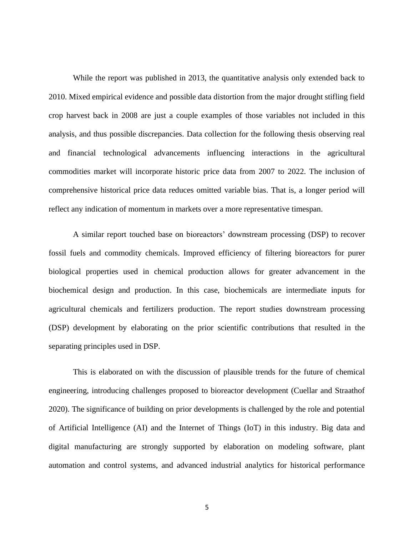While the report was published in 2013, the quantitative analysis only extended back to 2010. Mixed empirical evidence and possible data distortion from the major drought stifling field crop harvest back in 2008 are just a couple examples of those variables not included in this analysis, and thus possible discrepancies. Data collection for the following thesis observing real and financial technological advancements influencing interactions in the agricultural commodities market will incorporate historic price data from 2007 to 2022. The inclusion of comprehensive historical price data reduces omitted variable bias. That is, a longer period will reflect any indication of momentum in markets over a more representative timespan.

A similar report touched base on bioreactors' downstream processing (DSP) to recover fossil fuels and commodity chemicals. Improved efficiency of filtering bioreactors for purer biological properties used in chemical production allows for greater advancement in the biochemical design and production. In this case, biochemicals are intermediate inputs for agricultural chemicals and fertilizers production. The report studies downstream processing (DSP) development by elaborating on the prior scientific contributions that resulted in the separating principles used in DSP.

This is elaborated on with the discussion of plausible trends for the future of chemical engineering, introducing challenges proposed to bioreactor development (Cuellar and Straathof 2020). The significance of building on prior developments is challenged by the role and potential of Artificial Intelligence (AI) and the Internet of Things (IoT) in this industry. Big data and digital manufacturing are strongly supported by elaboration on modeling software, plant automation and control systems, and advanced industrial analytics for historical performance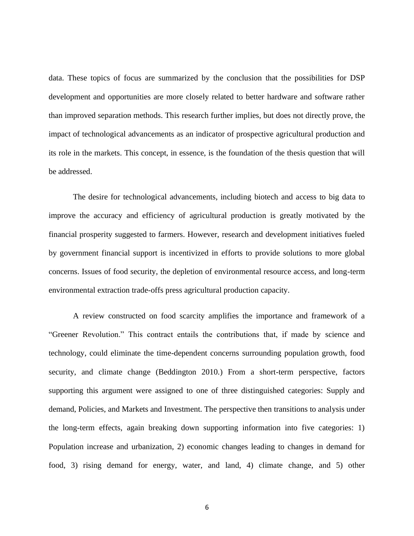data. These topics of focus are summarized by the conclusion that the possibilities for DSP development and opportunities are more closely related to better hardware and software rather than improved separation methods. This research further implies, but does not directly prove, the impact of technological advancements as an indicator of prospective agricultural production and its role in the markets. This concept, in essence, is the foundation of the thesis question that will be addressed.

The desire for technological advancements, including biotech and access to big data to improve the accuracy and efficiency of agricultural production is greatly motivated by the financial prosperity suggested to farmers. However, research and development initiatives fueled by government financial support is incentivized in efforts to provide solutions to more global concerns. Issues of food security, the depletion of environmental resource access, and long-term environmental extraction trade-offs press agricultural production capacity.

A review constructed on food scarcity amplifies the importance and framework of a "Greener Revolution." This contract entails the contributions that, if made by science and technology, could eliminate the time-dependent concerns surrounding population growth, food security, and climate change (Beddington 2010.) From a short-term perspective, factors supporting this argument were assigned to one of three distinguished categories: Supply and demand, Policies, and Markets and Investment. The perspective then transitions to analysis under the long-term effects, again breaking down supporting information into five categories: 1) Population increase and urbanization, 2) economic changes leading to changes in demand for food, 3) rising demand for energy, water, and land, 4) climate change, and 5) other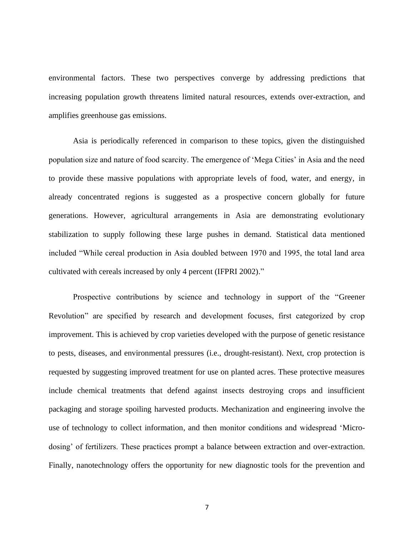environmental factors. These two perspectives converge by addressing predictions that increasing population growth threatens limited natural resources, extends over-extraction, and amplifies greenhouse gas emissions.

Asia is periodically referenced in comparison to these topics, given the distinguished population size and nature of food scarcity. The emergence of 'Mega Cities' in Asia and the need to provide these massive populations with appropriate levels of food, water, and energy, in already concentrated regions is suggested as a prospective concern globally for future generations. However, agricultural arrangements in Asia are demonstrating evolutionary stabilization to supply following these large pushes in demand. Statistical data mentioned included "While cereal production in Asia doubled between 1970 and 1995, the total land area cultivated with cereals increased by only 4 percent (IFPRI 2002)."

Prospective contributions by science and technology in support of the "Greener Revolution" are specified by research and development focuses, first categorized by crop improvement. This is achieved by crop varieties developed with the purpose of genetic resistance to pests, diseases, and environmental pressures (i.e., drought-resistant). Next, crop protection is requested by suggesting improved treatment for use on planted acres. These protective measures include chemical treatments that defend against insects destroying crops and insufficient packaging and storage spoiling harvested products. Mechanization and engineering involve the use of technology to collect information, and then monitor conditions and widespread 'Microdosing' of fertilizers. These practices prompt a balance between extraction and over-extraction. Finally, nanotechnology offers the opportunity for new diagnostic tools for the prevention and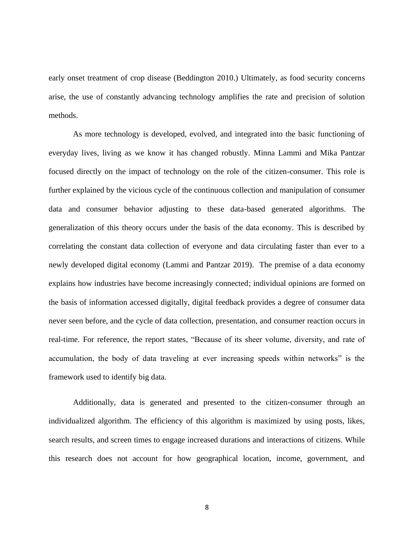early onset treatment of crop disease (Beddington 2010.) Ultimately, as food security concerns arise, the use of constantly advancing technology amplifies the rate and precision of solution methods.

As more technology is developed, evolved, and integrated into the basic functioning of everyday lives, living as we know it has changed robustly. Minna Lammi and Mika Pantzar focused directly on the impact of technology on the role of the citizen-consumer. This role is further explained by the vicious cycle of the continuous collection and manipulation of consumer data and consumer behavior adjusting to these data-based generated algorithms. The generalization of this theory occurs under the basis of the data economy. This is described by correlating the constant data collection of everyone and data circulating faster than ever to a newly developed digital economy (Lammi and Pantzar 2019). The premise of a data economy explains how industries have become increasingly connected; individual opinions are formed on the basis of information accessed digitally, digital feedback provides a degree of consumer data never seen before, and the cycle of data collection, presentation, and consumer reaction occurs in real-time. For reference, the report states, "Because of its sheer volume, diversity, and rate of accumulation, the body of data traveling at ever increasing speeds within networks" is the framework used to identify big data.

Additionally, data is generated and presented to the citizen-consumer through an individualized algorithm. The efficiency of this algorithm is maximized by using posts, likes, search results, and screen times to engage increased durations and interactions of citizens. While this research does not account for how geographical location, income, government, and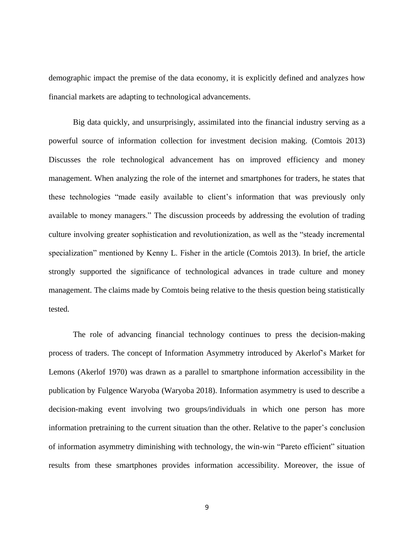demographic impact the premise of the data economy, it is explicitly defined and analyzes how financial markets are adapting to technological advancements.

Big data quickly, and unsurprisingly, assimilated into the financial industry serving as a powerful source of information collection for investment decision making. (Comtois 2013) Discusses the role technological advancement has on improved efficiency and money management. When analyzing the role of the internet and smartphones for traders, he states that these technologies "made easily available to client's information that was previously only available to money managers." The discussion proceeds by addressing the evolution of trading culture involving greater sophistication and revolutionization, as well as the "steady incremental specialization" mentioned by Kenny L. Fisher in the article (Comtois 2013). In brief, the article strongly supported the significance of technological advances in trade culture and money management. The claims made by Comtois being relative to the thesis question being statistically tested.

The role of advancing financial technology continues to press the decision-making process of traders. The concept of Information Asymmetry introduced by Akerlof's Market for Lemons (Akerlof 1970) was drawn as a parallel to smartphone information accessibility in the publication by Fulgence Waryoba (Waryoba 2018). Information asymmetry is used to describe a decision-making event involving two groups/individuals in which one person has more information pretraining to the current situation than the other. Relative to the paper's conclusion of information asymmetry diminishing with technology, the win-win "Pareto efficient" situation results from these smartphones provides information accessibility. Moreover, the issue of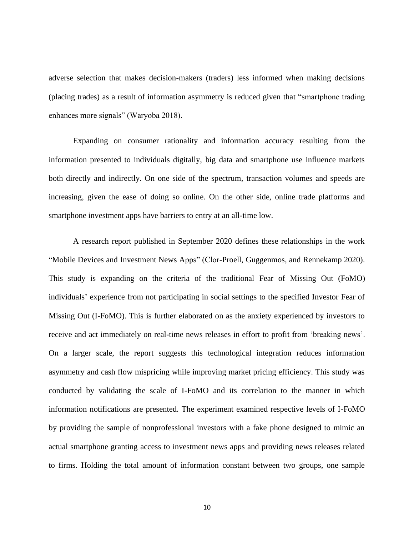adverse selection that makes decision-makers (traders) less informed when making decisions (placing trades) as a result of information asymmetry is reduced given that "smartphone trading enhances more signals" (Waryoba 2018).

Expanding on consumer rationality and information accuracy resulting from the information presented to individuals digitally, big data and smartphone use influence markets both directly and indirectly. On one side of the spectrum, transaction volumes and speeds are increasing, given the ease of doing so online. On the other side, online trade platforms and smartphone investment apps have barriers to entry at an all-time low.

A research report published in September 2020 defines these relationships in the work "Mobile Devices and Investment News Apps" (Clor-Proell, Guggenmos, and Rennekamp 2020). This study is expanding on the criteria of the traditional Fear of Missing Out (FoMO) individuals' experience from not participating in social settings to the specified Investor Fear of Missing Out (I-FoMO). This is further elaborated on as the anxiety experienced by investors to receive and act immediately on real-time news releases in effort to profit from 'breaking news'. On a larger scale, the report suggests this technological integration reduces information asymmetry and cash flow mispricing while improving market pricing efficiency. This study was conducted by validating the scale of I-FoMO and its correlation to the manner in which information notifications are presented. The experiment examined respective levels of I-FoMO by providing the sample of nonprofessional investors with a fake phone designed to mimic an actual smartphone granting access to investment news apps and providing news releases related to firms. Holding the total amount of information constant between two groups, one sample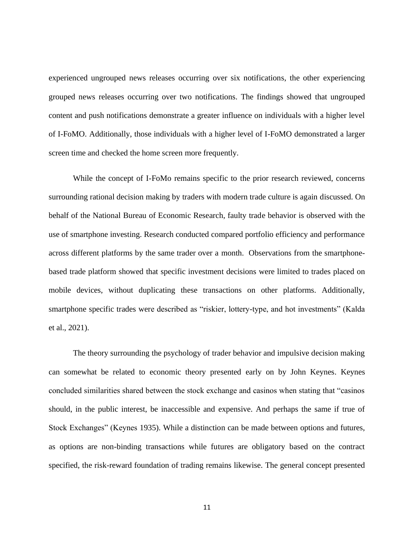experienced ungrouped news releases occurring over six notifications, the other experiencing grouped news releases occurring over two notifications. The findings showed that ungrouped content and push notifications demonstrate a greater influence on individuals with a higher level of I-FoMO. Additionally, those individuals with a higher level of I-FoMO demonstrated a larger screen time and checked the home screen more frequently.

While the concept of I-FoMo remains specific to the prior research reviewed, concerns surrounding rational decision making by traders with modern trade culture is again discussed. On behalf of the National Bureau of Economic Research, faulty trade behavior is observed with the use of smartphone investing. Research conducted compared portfolio efficiency and performance across different platforms by the same trader over a month. Observations from the smartphonebased trade platform showed that specific investment decisions were limited to trades placed on mobile devices, without duplicating these transactions on other platforms. Additionally, smartphone specific trades were described as "riskier, lottery-type, and hot investments" (Kalda et al., 2021).

The theory surrounding the psychology of trader behavior and impulsive decision making can somewhat be related to economic theory presented early on by John Keynes. Keynes concluded similarities shared between the stock exchange and casinos when stating that "casinos should, in the public interest, be inaccessible and expensive. And perhaps the same if true of Stock Exchanges" (Keynes 1935). While a distinction can be made between options and futures, as options are non-binding transactions while futures are obligatory based on the contract specified, the risk-reward foundation of trading remains likewise. The general concept presented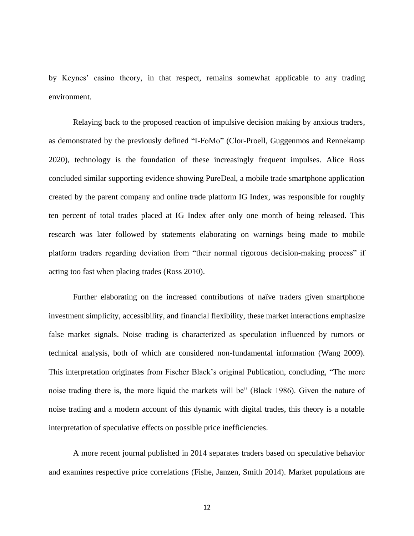by Keynes' casino theory, in that respect, remains somewhat applicable to any trading environment.

Relaying back to the proposed reaction of impulsive decision making by anxious traders, as demonstrated by the previously defined "I-FoMo" (Clor-Proell, Guggenmos and Rennekamp 2020), technology is the foundation of these increasingly frequent impulses. Alice Ross concluded similar supporting evidence showing PureDeal, a mobile trade smartphone application created by the parent company and online trade platform IG Index, was responsible for roughly ten percent of total trades placed at IG Index after only one month of being released. This research was later followed by statements elaborating on warnings being made to mobile platform traders regarding deviation from "their normal rigorous decision-making process" if acting too fast when placing trades (Ross 2010).

Further elaborating on the increased contributions of naïve traders given smartphone investment simplicity, accessibility, and financial flexibility, these market interactions emphasize false market signals. Noise trading is characterized as speculation influenced by rumors or technical analysis, both of which are considered non-fundamental information (Wang 2009). This interpretation originates from Fischer Black's original Publication, concluding, "The more noise trading there is, the more liquid the markets will be" (Black 1986). Given the nature of noise trading and a modern account of this dynamic with digital trades, this theory is a notable interpretation of speculative effects on possible price inefficiencies.

A more recent journal published in 2014 separates traders based on speculative behavior and examines respective price correlations (Fishe, Janzen, Smith 2014). Market populations are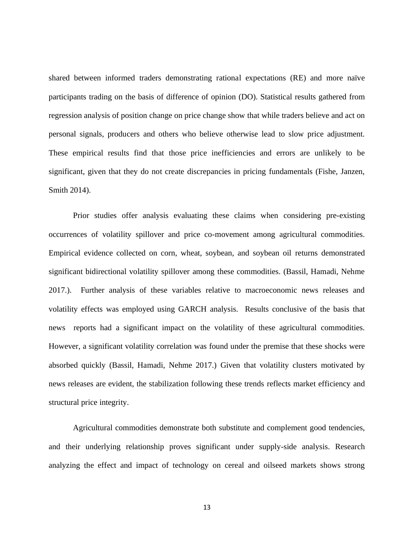shared between informed traders demonstrating rational expectations (RE) and more naïve participants trading on the basis of difference of opinion (DO). Statistical results gathered from regression analysis of position change on price change show that while traders believe and act on personal signals, producers and others who believe otherwise lead to slow price adjustment. These empirical results find that those price inefficiencies and errors are unlikely to be significant, given that they do not create discrepancies in pricing fundamentals (Fishe, Janzen, Smith 2014).

Prior studies offer analysis evaluating these claims when considering pre-existing occurrences of volatility spillover and price co-movement among agricultural commodities. Empirical evidence collected on corn, wheat, soybean, and soybean oil returns demonstrated significant bidirectional volatility spillover among these commodities. (Bassil, Hamadi, Nehme 2017.). Further analysis of these variables relative to macroeconomic news releases and volatility effects was employed using GARCH analysis. Results conclusive of the basis that news reports had a significant impact on the volatility of these agricultural commodities. However, a significant volatility correlation was found under the premise that these shocks were absorbed quickly (Bassil, Hamadi, Nehme 2017.) Given that volatility clusters motivated by news releases are evident, the stabilization following these trends reflects market efficiency and structural price integrity.

Agricultural commodities demonstrate both substitute and complement good tendencies, and their underlying relationship proves significant under supply-side analysis. Research analyzing the effect and impact of technology on cereal and oilseed markets shows strong

13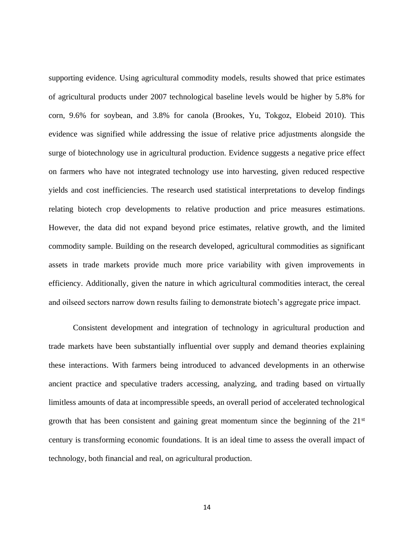supporting evidence. Using agricultural commodity models, results showed that price estimates of agricultural products under 2007 technological baseline levels would be higher by 5.8% for corn, 9.6% for soybean, and 3.8% for canola (Brookes, Yu, Tokgoz, Elobeid 2010). This evidence was signified while addressing the issue of relative price adjustments alongside the surge of biotechnology use in agricultural production. Evidence suggests a negative price effect on farmers who have not integrated technology use into harvesting, given reduced respective yields and cost inefficiencies. The research used statistical interpretations to develop findings relating biotech crop developments to relative production and price measures estimations. However, the data did not expand beyond price estimates, relative growth, and the limited commodity sample. Building on the research developed, agricultural commodities as significant assets in trade markets provide much more price variability with given improvements in efficiency. Additionally, given the nature in which agricultural commodities interact, the cereal and oilseed sectors narrow down results failing to demonstrate biotech's aggregate price impact.

Consistent development and integration of technology in agricultural production and trade markets have been substantially influential over supply and demand theories explaining these interactions. With farmers being introduced to advanced developments in an otherwise ancient practice and speculative traders accessing, analyzing, and trading based on virtually limitless amounts of data at incompressible speeds, an overall period of accelerated technological growth that has been consistent and gaining great momentum since the beginning of the  $21<sup>st</sup>$ century is transforming economic foundations. It is an ideal time to assess the overall impact of technology, both financial and real, on agricultural production.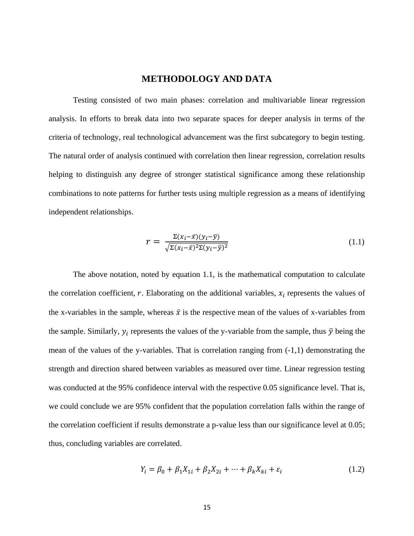#### **METHODOLOGY AND DATA**

<span id="page-24-0"></span>Testing consisted of two main phases: correlation and multivariable linear regression analysis. In efforts to break data into two separate spaces for deeper analysis in terms of the criteria of technology, real technological advancement was the first subcategory to begin testing. The natural order of analysis continued with correlation then linear regression, correlation results helping to distinguish any degree of stronger statistical significance among these relationship combinations to note patterns for further tests using multiple regression as a means of identifying independent relationships.

$$
r = \frac{\Sigma(x_i - \bar{x})(y_i - \bar{y})}{\sqrt{\Sigma(x_i - \bar{x})^2 \Sigma(y_i - \bar{y})^2}}\tag{1.1}
$$

The above notation, noted by equation 1.1, is the mathematical computation to calculate the correlation coefficient,  $r$ . Elaborating on the additional variables,  $x_i$  represents the values of the x-variables in the sample, whereas  $\bar{x}$  is the respective mean of the values of x-variables from the sample. Similarly,  $y_i$  represents the values of the y-variable from the sample, thus  $\bar{y}$  being the mean of the values of the y-variables. That is correlation ranging from  $(-1,1)$  demonstrating the strength and direction shared between variables as measured over time. Linear regression testing was conducted at the 95% confidence interval with the respective 0.05 significance level. That is, we could conclude we are 95% confident that the population correlation falls within the range of the correlation coefficient if results demonstrate a p-value less than our significance level at 0.05; thus, concluding variables are correlated.

$$
Y_i = \beta_0 + \beta_1 X_{1i} + \beta_2 X_{2i} + \dots + \beta_k X_{ki} + \varepsilon_i
$$
 (1.2)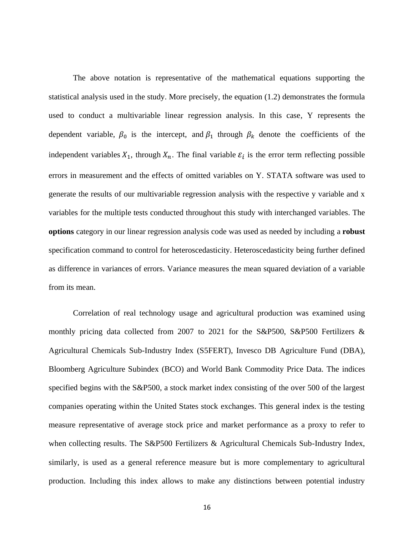The above notation is representative of the mathematical equations supporting the statistical analysis used in the study. More precisely, the equation (1.2) demonstrates the formula used to conduct a multivariable linear regression analysis. In this case, Y represents the dependent variable,  $\beta_0$  is the intercept, and  $\beta_1$  through  $\beta_k$  denote the coefficients of the independent variables  $X_1$ , through  $X_n$ . The final variable  $\varepsilon_i$  is the error term reflecting possible errors in measurement and the effects of omitted variables on Y. STATA software was used to generate the results of our multivariable regression analysis with the respective y variable and x variables for the multiple tests conducted throughout this study with interchanged variables. The **options** category in our linear regression analysis code was used as needed by including a **robust**  specification command to control for heteroscedasticity. Heteroscedasticity being further defined as difference in variances of errors. Variance measures the mean squared deviation of a variable from its mean.

Correlation of real technology usage and agricultural production was examined using monthly pricing data collected from 2007 to 2021 for the S&P500, S&P500 Fertilizers & Agricultural Chemicals Sub-Industry Index (S5FERT), Invesco DB Agriculture Fund (DBA), Bloomberg Agriculture Subindex (BCO) and World Bank Commodity Price Data. The indices specified begins with the S&P500, a stock market index consisting of the over 500 of the largest companies operating within the United States stock exchanges. This general index is the testing measure representative of average stock price and market performance as a proxy to refer to when collecting results. The S&P500 Fertilizers & Agricultural Chemicals Sub-Industry Index, similarly, is used as a general reference measure but is more complementary to agricultural production. Including this index allows to make any distinctions between potential industry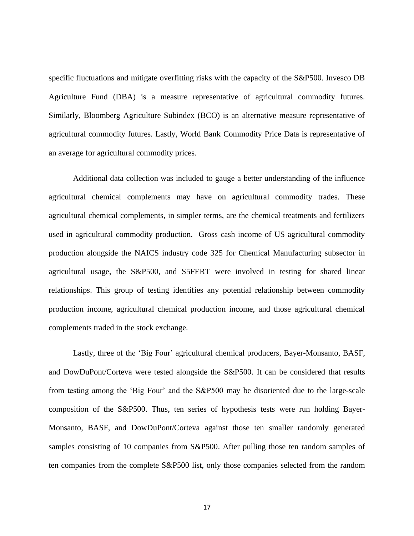specific fluctuations and mitigate overfitting risks with the capacity of the S&P500. Invesco DB Agriculture Fund (DBA) is a measure representative of agricultural commodity futures. Similarly, Bloomberg Agriculture Subindex (BCO) is an alternative measure representative of agricultural commodity futures. Lastly, World Bank Commodity Price Data is representative of an average for agricultural commodity prices.

Additional data collection was included to gauge a better understanding of the influence agricultural chemical complements may have on agricultural commodity trades. These agricultural chemical complements, in simpler terms, are the chemical treatments and fertilizers used in agricultural commodity production. Gross cash income of US agricultural commodity production alongside the NAICS industry code 325 for Chemical Manufacturing subsector in agricultural usage, the S&P500, and S5FERT were involved in testing for shared linear relationships. This group of testing identifies any potential relationship between commodity production income, agricultural chemical production income, and those agricultural chemical complements traded in the stock exchange.

Lastly, three of the 'Big Four' agricultural chemical producers, Bayer-Monsanto, BASF, and DowDuPont/Corteva were tested alongside the S&P500. It can be considered that results from testing among the 'Big Four' and the S&P500 may be disoriented due to the large-scale composition of the S&P500. Thus, ten series of hypothesis tests were run holding Bayer-Monsanto, BASF, and DowDuPont/Corteva against those ten smaller randomly generated samples consisting of 10 companies from S&P500. After pulling those ten random samples of ten companies from the complete S&P500 list, only those companies selected from the random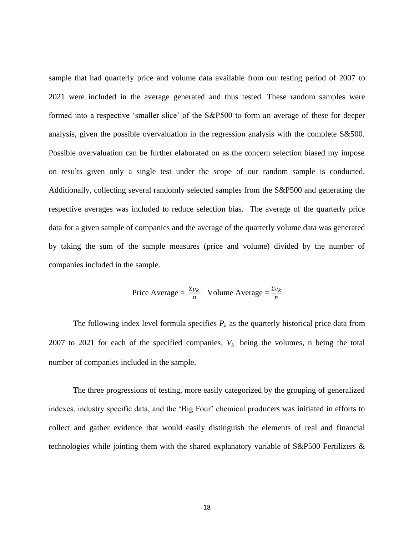sample that had quarterly price and volume data available from our testing period of 2007 to 2021 were included in the average generated and thus tested. These random samples were formed into a respective 'smaller slice' of the S&P500 to form an average of these for deeper analysis, given the possible overvaluation in the regression analysis with the complete S&500. Possible overvaluation can be further elaborated on as the concern selection biased my impose on results given only a single test under the scope of our random sample is conducted. Additionally, collecting several randomly selected samples from the S&P500 and generating the respective averages was included to reduce selection bias. The average of the quarterly price data for a given sample of companies and the average of the quarterly volume data was generated by taking the sum of the sample measures (price and volume) divided by the number of companies included in the sample.

$$
Price Average = \frac{\Sigma p_k}{n} \quad Volume Average = \frac{\Sigma v_k}{n}
$$

The following index level formula specifies  $P_k$  as the quarterly historical price data from 2007 to 2021 for each of the specified companies,  $V_k$  being the volumes, n being the total number of companies included in the sample.

The three progressions of testing, more easily categorized by the grouping of generalized indexes, industry specific data, and the 'Big Four' chemical producers was initiated in efforts to collect and gather evidence that would easily distinguish the elements of real and financial technologies while jointing them with the shared explanatory variable of S&P500 Fertilizers &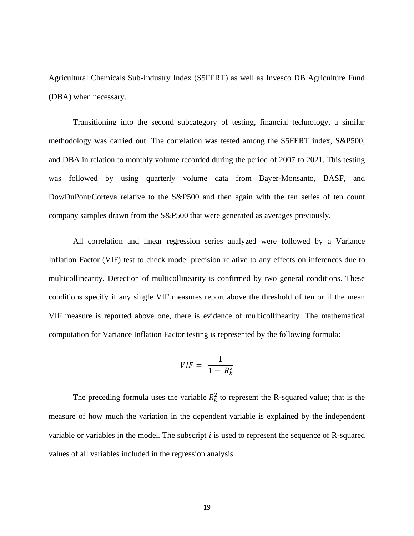Agricultural Chemicals Sub-Industry Index (S5FERT) as well as Invesco DB Agriculture Fund (DBA) when necessary.

Transitioning into the second subcategory of testing, financial technology, a similar methodology was carried out. The correlation was tested among the S5FERT index, S&P500, and DBA in relation to monthly volume recorded during the period of 2007 to 2021. This testing was followed by using quarterly volume data from Bayer-Monsanto, BASF, and DowDuPont/Corteva relative to the S&P500 and then again with the ten series of ten count company samples drawn from the S&P500 that were generated as averages previously.

All correlation and linear regression series analyzed were followed by a Variance Inflation Factor (VIF) test to check model precision relative to any effects on inferences due to multicollinearity. Detection of multicollinearity is confirmed by two general conditions. These conditions specify if any single VIF measures report above the threshold of ten or if the mean VIF measure is reported above one, there is evidence of multicollinearity. The mathematical computation for Variance Inflation Factor testing is represented by the following formula:

$$
VIF = \frac{1}{1 - R_k^2}
$$

The preceding formula uses the variable  $R_k^2$  to represent the R-squared value; that is the measure of how much the variation in the dependent variable is explained by the independent variable or variables in the model. The subscript  $i$  is used to represent the sequence of R-squared values of all variables included in the regression analysis.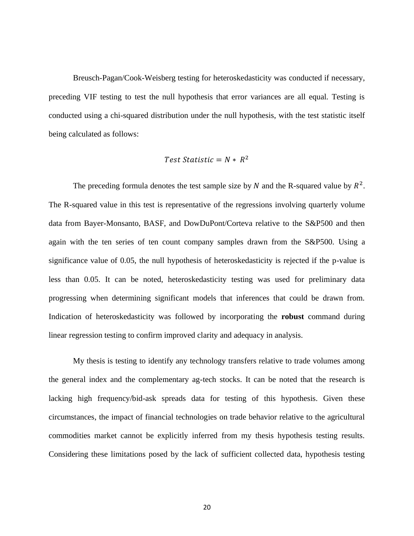Breusch-Pagan/Cook-Weisberg testing for heteroskedasticity was conducted if necessary, preceding VIF testing to test the null hypothesis that error variances are all equal. Testing is conducted using a chi-squared distribution under the null hypothesis, with the test statistic itself being calculated as follows:

#### Test Statistic =  $N * R^2$

The preceding formula denotes the test sample size by N and the R-squared value by  $R^2$ . The R-squared value in this test is representative of the regressions involving quarterly volume data from Bayer-Monsanto, BASF, and DowDuPont/Corteva relative to the S&P500 and then again with the ten series of ten count company samples drawn from the S&P500. Using a significance value of 0.05, the null hypothesis of heteroskedasticity is rejected if the p-value is less than 0.05. It can be noted, heteroskedasticity testing was used for preliminary data progressing when determining significant models that inferences that could be drawn from. Indication of heteroskedasticity was followed by incorporating the **robust** command during linear regression testing to confirm improved clarity and adequacy in analysis.

My thesis is testing to identify any technology transfers relative to trade volumes among the general index and the complementary ag-tech stocks. It can be noted that the research is lacking high frequency/bid-ask spreads data for testing of this hypothesis. Given these circumstances, the impact of financial technologies on trade behavior relative to the agricultural commodities market cannot be explicitly inferred from my thesis hypothesis testing results. Considering these limitations posed by the lack of sufficient collected data, hypothesis testing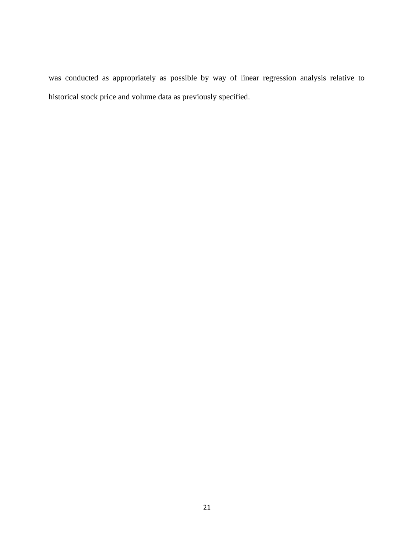was conducted as appropriately as possible by way of linear regression analysis relative to historical stock price and volume data as previously specified.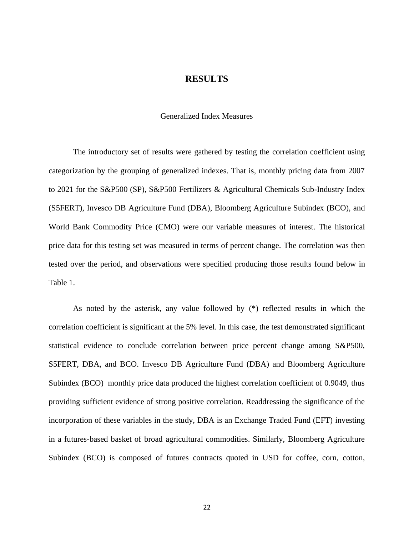#### **RESULTS**

#### Generalized Index Measures

<span id="page-31-1"></span><span id="page-31-0"></span>The introductory set of results were gathered by testing the correlation coefficient using categorization by the grouping of generalized indexes. That is, monthly pricing data from 2007 to 2021 for the S&P500 (SP), S&P500 Fertilizers & Agricultural Chemicals Sub-Industry Index (S5FERT), Invesco DB Agriculture Fund (DBA), Bloomberg Agriculture Subindex (BCO), and World Bank Commodity Price (CMO) were our variable measures of interest. The historical price data for this testing set was measured in terms of percent change. The correlation was then tested over the period, and observations were specified producing those results found below in Table 1.

As noted by the asterisk, any value followed by (\*) reflected results in which the correlation coefficient is significant at the 5% level. In this case, the test demonstrated significant statistical evidence to conclude correlation between price percent change among S&P500, S5FERT, DBA, and BCO. Invesco DB Agriculture Fund (DBA) and Bloomberg Agriculture Subindex (BCO) monthly price data produced the highest correlation coefficient of 0.9049, thus providing sufficient evidence of strong positive correlation. Readdressing the significance of the incorporation of these variables in the study, DBA is an Exchange Traded Fund (EFT) investing in a futures-based basket of broad agricultural commodities. Similarly, Bloomberg Agriculture Subindex (BCO) is composed of futures contracts quoted in USD for coffee, corn, cotton,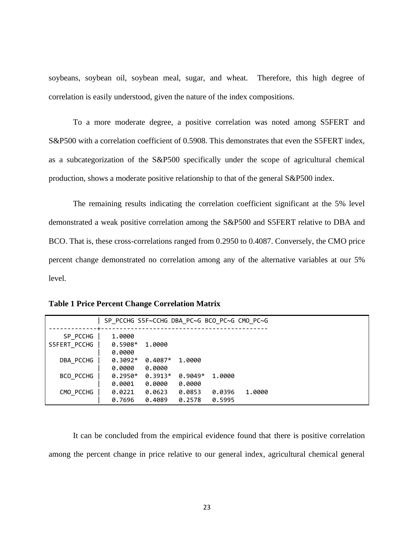soybeans, soybean oil, soybean meal, sugar, and wheat. Therefore, this high degree of correlation is easily understood, given the nature of the index compositions.

To a more moderate degree, a positive correlation was noted among S5FERT and S&P500 with a correlation coefficient of 0.5908. This demonstrates that even the S5FERT index, as a subcategorization of the S&P500 specifically under the scope of agricultural chemical production, shows a moderate positive relationship to that of the general S&P500 index.

The remaining results indicating the correlation coefficient significant at the 5% level demonstrated a weak positive correlation among the S&P500 and S5FERT relative to DBA and BCO. That is, these cross-correlations ranged from 0.2950 to 0.4087. Conversely, the CMO price percent change demonstrated no correlation among any of the alternative variables at our 5% level.

|              | SP_PCCHG S5F~CCHG DBA_PC~G BCO_PC~G CMO PC~G |           |           |        |        |  |
|--------------|----------------------------------------------|-----------|-----------|--------|--------|--|
| SP PCCHG     | 1,0000                                       |           |           |        |        |  |
| S5FERT PCCHG | $0.5908*$                                    | 1,0000    |           |        |        |  |
|              | 0.0000                                       |           |           |        |        |  |
| DBA PCCHG    | $0.3092*$                                    | $0.4087*$ | 1.0000    |        |        |  |
|              | 0.0000                                       | 0.0000    |           |        |        |  |
| BCO PCCHG    | $0.2950*$                                    | $0.3913*$ | $0.9049*$ | 1,0000 |        |  |
|              | 0.0001                                       | 0.0000    | 0.0000    |        |        |  |
| CMO PCCHG    | 0.0221                                       | 0.0623    | 0.0853    | 0.0396 | 1.0000 |  |
|              | 0.7696                                       | 0.4089    | 0.2578    | 0.5995 |        |  |

<span id="page-32-0"></span>**Table 1 Price Percent Change Correlation Matrix**

It can be concluded from the empirical evidence found that there is positive correlation among the percent change in price relative to our general index, agricultural chemical general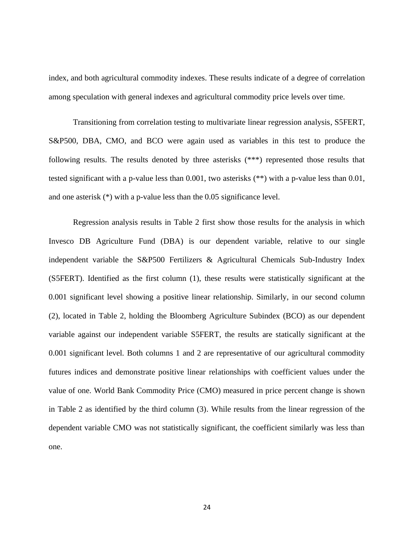index, and both agricultural commodity indexes. These results indicate of a degree of correlation among speculation with general indexes and agricultural commodity price levels over time.

Transitioning from correlation testing to multivariate linear regression analysis, S5FERT, S&P500, DBA, CMO, and BCO were again used as variables in this test to produce the following results. The results denoted by three asterisks (\*\*\*) represented those results that tested significant with a p-value less than 0.001, two asterisks (\*\*) with a p-value less than 0.01, and one asterisk (\*) with a p-value less than the 0.05 significance level.

Regression analysis results in Table 2 first show those results for the analysis in which Invesco DB Agriculture Fund (DBA) is our dependent variable, relative to our single independent variable the S&P500 Fertilizers & Agricultural Chemicals Sub-Industry Index (S5FERT). Identified as the first column (1), these results were statistically significant at the 0.001 significant level showing a positive linear relationship. Similarly, in our second column (2), located in Table 2, holding the Bloomberg Agriculture Subindex (BCO) as our dependent variable against our independent variable S5FERT, the results are statically significant at the 0.001 significant level. Both columns 1 and 2 are representative of our agricultural commodity futures indices and demonstrate positive linear relationships with coefficient values under the value of one. World Bank Commodity Price (CMO) measured in price percent change is shown in Table 2 as identified by the third column (3). While results from the linear regression of the dependent variable CMO was not statistically significant, the coefficient similarly was less than one.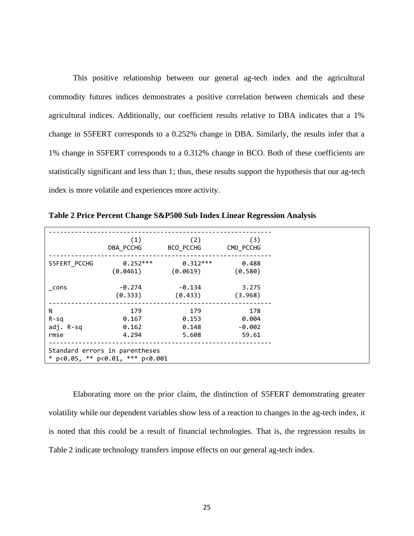This positive relationship between our general ag-tech index and the agricultural commodity futures indices demonstrates a positive correlation between chemicals and these agricultural indices. Additionally, our coefficient results relative to DBA indicates that a 1% change in S5FERT corresponds to a 0.252% change in DBA. Similarly, the results infer that a 1% change in S5FERT corresponds to a 0.312% change in BCO. Both of these coefficients are statistically significant and less than 1; thus, these results support the hypothesis that our ag-tech index is more volatile and experiences more activity.

|              | (1)                                            | (2)        | (3)       |
|--------------|------------------------------------------------|------------|-----------|
|              | DBA PCCHG                                      | BCO_PCCHG  | CMO PCCHG |
| S5FERT PCCHG | $0.252***$                                     | $0.312***$ | 0.488     |
|              | (0.0461)                                       | (0.0619)   | (0.580)   |
| cons         | $-0.274$                                       | $-0.134$   | 3.275     |
|              | (0.333)                                        | (0.433)    | (3.968)   |
| N            | 179                                            | 179        | 178       |
| $R-Sq$       | 0.167                                          | 0.153      | 0.004     |
| adj. R-sq    | 0.162                                          | 0.148      | $-0.002$  |
| rmse         | 4.294                                          | 5.608      | 59.61     |
|              | Standard errors in parentheses                 |            |           |
|              | * $p < 0.05$ , ** $p < 0.01$ , *** $p < 0.001$ |            |           |

<span id="page-34-0"></span>**Table 2 Price Percent Change S&P500 Sub Index Linear Regression Analysis**

Elaborating more on the prior claim, the distinction of S5FERT demonstrating greater volatility while our dependent variables show less of a reaction to changes in the ag-tech index, it is noted that this could be a result of financial technologies. That is, the regression results in Table 2 indicate technology transfers impose effects on our general ag-tech index.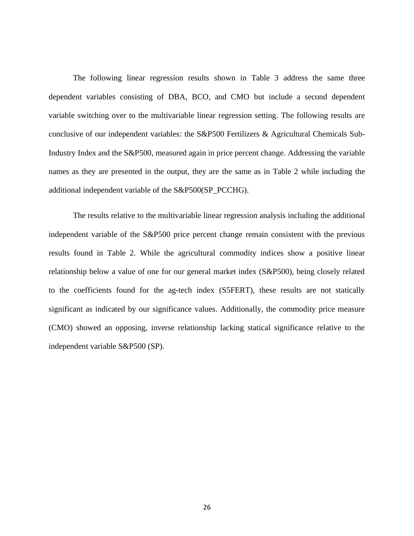The following linear regression results shown in Table 3 address the same three dependent variables consisting of DBA, BCO, and CMO but include a second dependent variable switching over to the multivariable linear regression setting. The following results are conclusive of our independent variables: the S&P500 Fertilizers & Agricultural Chemicals Sub-Industry Index and the S&P500, measured again in price percent change. Addressing the variable names as they are presented in the output, they are the same as in Table 2 while including the additional independent variable of the S&P500(SP\_PCCHG).

The results relative to the multivariable linear regression analysis including the additional independent variable of the S&P500 price percent change remain consistent with the previous results found in Table 2. While the agricultural commodity indices show a positive linear relationship below a value of one for our general market index (S&P500), being closely related to the coefficients found for the ag-tech index (S5FERT), these results are not statically significant as indicated by our significance values. Additionally, the commodity price measure (CMO) showed an opposing, inverse relationship lacking statical significance relative to the independent variable S&P500 (SP).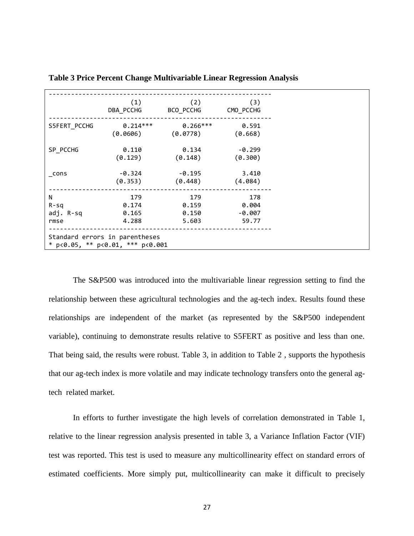|              | (1)                                            | (2)        | (3)       |
|--------------|------------------------------------------------|------------|-----------|
|              | DBA_PCCHG                                      | BCO_PCCHG  | CMO_PCCHG |
| S5FERT_PCCHG | $0.214***$                                     | $0.266***$ | 0.591     |
|              | (0.0606)                                       | (0.0778)   | (0.668)   |
| SP PCCHG     | 0.110                                          | 0.134      | $-0.299$  |
|              | (0.129)                                        | (0.148)    | (0.300)   |
| cons         | $-0.324$                                       | $-0.195$   | 3.410     |
|              | (0.353)                                        | (0.448)    | (4.084)   |
| N            | 179                                            | 179        | 178       |
| $R-Sq$       | 0.174                                          | 0.159      | 0.004     |
| adj. R-sq    | 0.165                                          | 0.150      | $-0.007$  |
| rmse         | 4.288                                          | 5.603      | 59.77     |
|              | Standard errors in parentheses                 |            |           |
|              | * $p < 0.05$ , ** $p < 0.01$ , *** $p < 0.001$ |            |           |

<span id="page-36-0"></span>**Table 3 Price Percent Change Multivariable Linear Regression Analysis**

The S&P500 was introduced into the multivariable linear regression setting to find the relationship between these agricultural technologies and the ag-tech index. Results found these relationships are independent of the market (as represented by the S&P500 independent variable), continuing to demonstrate results relative to S5FERT as positive and less than one. That being said, the results were robust. Table 3, in addition to Table 2 , supports the hypothesis that our ag-tech index is more volatile and may indicate technology transfers onto the general agtech related market.

In efforts to further investigate the high levels of correlation demonstrated in Table 1, relative to the linear regression analysis presented in table 3, a Variance Inflation Factor (VIF) test was reported. This test is used to measure any multicollinearity effect on standard errors of estimated coefficients. More simply put, multicollinearity can make it difficult to precisely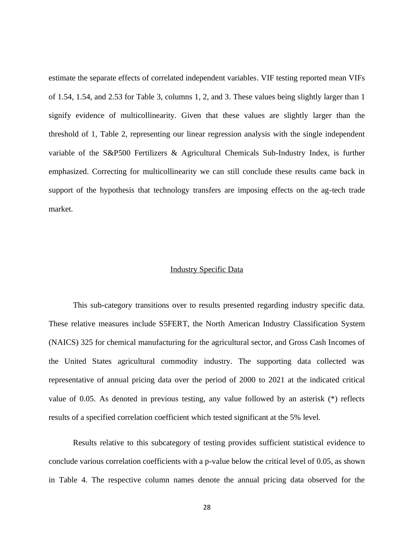estimate the separate effects of correlated independent variables. VIF testing reported mean VIFs of 1.54, 1.54, and 2.53 for Table 3, columns 1, 2, and 3. These values being slightly larger than 1 signify evidence of multicollinearity. Given that these values are slightly larger than the threshold of 1, Table 2, representing our linear regression analysis with the single independent variable of the S&P500 Fertilizers & Agricultural Chemicals Sub-Industry Index, is further emphasized. Correcting for multicollinearity we can still conclude these results came back in support of the hypothesis that technology transfers are imposing effects on the ag-tech trade market.

#### Industry Specific Data

<span id="page-37-0"></span>This sub-category transitions over to results presented regarding industry specific data. These relative measures include S5FERT, the North American Industry Classification System (NAICS) 325 for chemical manufacturing for the agricultural sector, and Gross Cash Incomes of the United States agricultural commodity industry. The supporting data collected was representative of annual pricing data over the period of 2000 to 2021 at the indicated critical value of 0.05. As denoted in previous testing, any value followed by an asterisk (\*) reflects results of a specified correlation coefficient which tested significant at the 5% level.

Results relative to this subcategory of testing provides sufficient statistical evidence to conclude various correlation coefficients with a p-value below the critical level of 0.05, as shown in Table 4. The respective column names denote the annual pricing data observed for the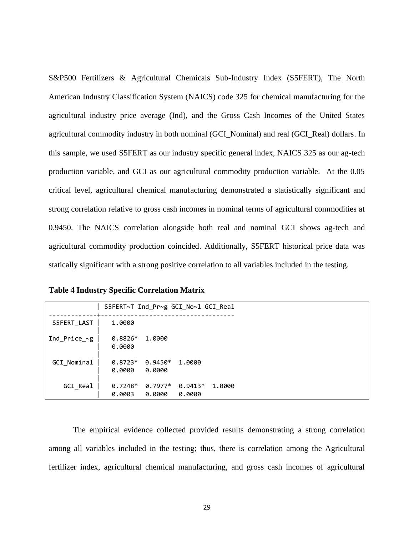S&P500 Fertilizers & Agricultural Chemicals Sub-Industry Index (S5FERT), The North American Industry Classification System (NAICS) code 325 for chemical manufacturing for the agricultural industry price average (Ind), and the Gross Cash Incomes of the United States agricultural commodity industry in both nominal (GCI\_Nominal) and real (GCI\_Real) dollars. In this sample, we used S5FERT as our industry specific general index, NAICS 325 as our ag-tech production variable, and GCI as our agricultural commodity production variable. At the 0.05 critical level, agricultural chemical manufacturing demonstrated a statistically significant and strong correlation relative to gross cash incomes in nominal terms of agricultural commodities at 0.9450. The NAICS correlation alongside both real and nominal GCI shows ag-tech and agricultural commodity production coincided. Additionally, S5FERT historical price data was statically significant with a strong positive correlation to all variables included in the testing.

|                     | S5FERT~T Ind_Pr~g GCI_No~l GCI_Real |                     |                     |        |  |  |
|---------------------|-------------------------------------|---------------------|---------------------|--------|--|--|
| S5FERT LAST         | 1.0000                              |                     |                     |        |  |  |
| Ind Price $~\sim g$ | $0.8826*$<br>0.0000                 | 1,0000              |                     |        |  |  |
| GCI Nominal         | $0.8723*$<br>0.0000                 | $0.9450*$<br>0.0000 | 1,0000              |        |  |  |
| GCI_Real            | $0.7248*$<br>0.0003                 | $0.7977*$<br>0.0000 | $0.9413*$<br>0.0000 | 1.0000 |  |  |

<span id="page-38-0"></span>

The empirical evidence collected provided results demonstrating a strong correlation among all variables included in the testing; thus, there is correlation among the Agricultural fertilizer index, agricultural chemical manufacturing, and gross cash incomes of agricultural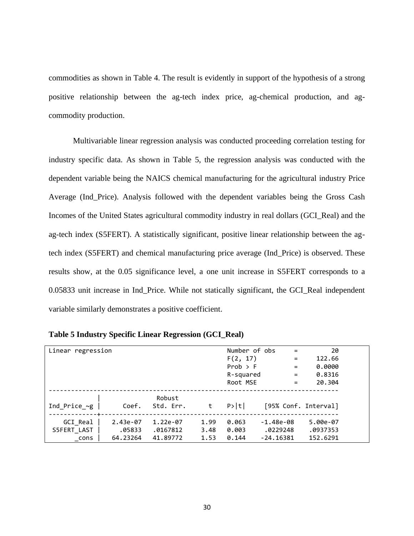commodities as shown in Table 4. The result is evidently in support of the hypothesis of a strong positive relationship between the ag-tech index price, ag-chemical production, and agcommodity production.

Multivariable linear regression analysis was conducted proceeding correlation testing for industry specific data. As shown in Table 5, the regression analysis was conducted with the dependent variable being the NAICS chemical manufacturing for the agricultural industry Price Average (Ind\_Price). Analysis followed with the dependent variables being the Gross Cash Incomes of the United States agricultural commodity industry in real dollars (GCI\_Real) and the ag-tech index (S5FERT). A statistically significant, positive linear relationship between the agtech index (S5FERT) and chemical manufacturing price average (Ind\_Price) is observed. These results show, at the 0.05 significance level, a one unit increase in S5FERT corresponds to a 0.05833 unit increase in Ind\_Price. While not statically significant, the GCI\_Real independent variable similarly demonstrates a positive coefficient.

| Linear regression  |            |           |      | Number of obs | $\equiv$             | 20       |  |
|--------------------|------------|-----------|------|---------------|----------------------|----------|--|
|                    |            |           |      | F(2, 17)      | $=$                  | 122.66   |  |
|                    |            |           |      | Prob > F      | $=$                  | 0.0000   |  |
|                    |            |           |      | R-squared     | $=$                  | 0.8316   |  |
|                    |            |           |      | Root MSE      | $=$                  | 20.304   |  |
|                    |            |           |      |               |                      |          |  |
|                    |            | Robust    |      |               |                      |          |  |
| Ind Price $\sim g$ | Coef.      | Std. Err. | t    | P> t          | [95% Conf. Interval] |          |  |
| GCI Real           | $2.43e-07$ | 1.22e-07  | 1.99 | 0.063         | $-1.48e-08$          | 5.00e-07 |  |
| S5FERT LAST        | .05833     | .0167812  | 3.48 | 0.003         | .0229248             | .0937353 |  |
| cons               | 64.23264   | 41.89772  | 1.53 | 0.144         | $-24.16381$          | 152.6291 |  |

<span id="page-39-0"></span>**Table 5 Industry Specific Linear Regression (GCI\_Real)**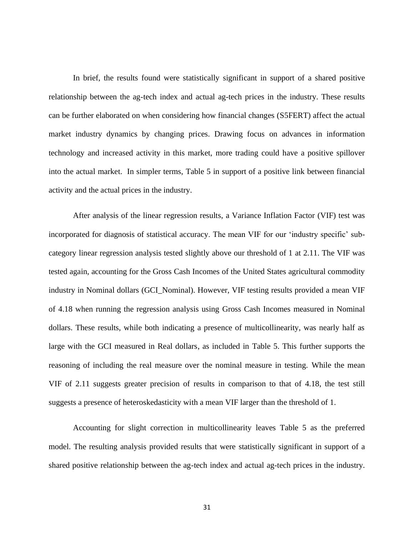In brief, the results found were statistically significant in support of a shared positive relationship between the ag-tech index and actual ag-tech prices in the industry. These results can be further elaborated on when considering how financial changes (S5FERT) affect the actual market industry dynamics by changing prices. Drawing focus on advances in information technology and increased activity in this market, more trading could have a positive spillover into the actual market. In simpler terms, Table 5 in support of a positive link between financial activity and the actual prices in the industry.

After analysis of the linear regression results, a Variance Inflation Factor (VIF) test was incorporated for diagnosis of statistical accuracy. The mean VIF for our 'industry specific' subcategory linear regression analysis tested slightly above our threshold of 1 at 2.11. The VIF was tested again, accounting for the Gross Cash Incomes of the United States agricultural commodity industry in Nominal dollars (GCI\_Nominal). However, VIF testing results provided a mean VIF of 4.18 when running the regression analysis using Gross Cash Incomes measured in Nominal dollars. These results, while both indicating a presence of multicollinearity, was nearly half as large with the GCI measured in Real dollars, as included in Table 5. This further supports the reasoning of including the real measure over the nominal measure in testing. While the mean VIF of 2.11 suggests greater precision of results in comparison to that of 4.18, the test still suggests a presence of heteroskedasticity with a mean VIF larger than the threshold of 1.

Accounting for slight correction in multicollinearity leaves Table 5 as the preferred model. The resulting analysis provided results that were statistically significant in support of a shared positive relationship between the ag-tech index and actual ag-tech prices in the industry.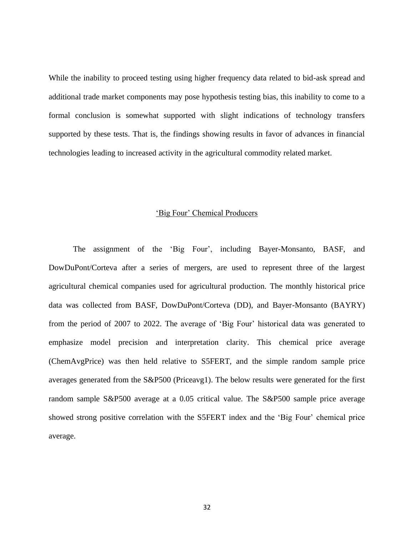While the inability to proceed testing using higher frequency data related to bid-ask spread and additional trade market components may pose hypothesis testing bias, this inability to come to a formal conclusion is somewhat supported with slight indications of technology transfers supported by these tests. That is, the findings showing results in favor of advances in financial technologies leading to increased activity in the agricultural commodity related market.

#### 'Big Four' Chemical Producers

<span id="page-41-0"></span>The assignment of the 'Big Four', including Bayer-Monsanto, BASF, and DowDuPont/Corteva after a series of mergers, are used to represent three of the largest agricultural chemical companies used for agricultural production. The monthly historical price data was collected from BASF, DowDuPont/Corteva (DD), and Bayer-Monsanto (BAYRY) from the period of 2007 to 2022. The average of 'Big Four' historical data was generated to emphasize model precision and interpretation clarity. This chemical price average (ChemAvgPrice) was then held relative to S5FERT, and the simple random sample price averages generated from the S&P500 (Priceavg1). The below results were generated for the first random sample S&P500 average at a 0.05 critical value. The S&P500 sample price average showed strong positive correlation with the S5FERT index and the 'Big Four' chemical price average.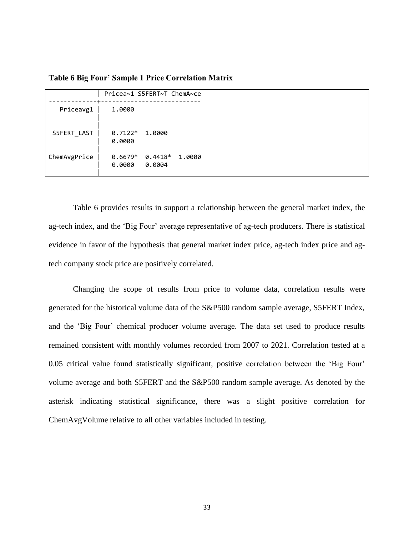|              | Pricea~1 S5FERT~T ChemA~ce                           |  |
|--------------|------------------------------------------------------|--|
| Priceavg1    | 1.0000                                               |  |
| S5FERT LAST  | $0.7122*$<br>1.0000<br>0.0000                        |  |
| ChemAvgPrice | $0.6679*$<br>$0.4418*$<br>1.0000<br>0.0000<br>0.0004 |  |

<span id="page-42-0"></span>**Table 6 Big Four' Sample 1 Price Correlation Matrix**

Table 6 provides results in support a relationship between the general market index, the ag-tech index, and the 'Big Four' average representative of ag-tech producers. There is statistical evidence in favor of the hypothesis that general market index price, ag-tech index price and agtech company stock price are positively correlated.

Changing the scope of results from price to volume data, correlation results were generated for the historical volume data of the S&P500 random sample average, S5FERT Index, and the 'Big Four' chemical producer volume average. The data set used to produce results remained consistent with monthly volumes recorded from 2007 to 2021. Correlation tested at a 0.05 critical value found statistically significant, positive correlation between the 'Big Four' volume average and both S5FERT and the S&P500 random sample average. As denoted by the asterisk indicating statistical significance, there was a slight positive correlation for ChemAvgVolume relative to all other variables included in testing.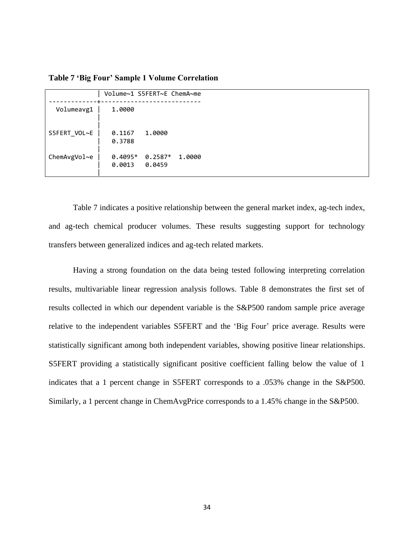<span id="page-43-0"></span>**Table 7 'Big Four' Sample 1 Volume Correlation**

|              | Volume~1 S5FERT~E ChemA~me |                     |        |
|--------------|----------------------------|---------------------|--------|
| Volumeavg1   | 1.0000                     |                     |        |
| S5FERT VOL~E | 0.1167<br>0.3788           | 1.0000              |        |
| ChemAvgVol~e | $0.4095*$<br>0.0013        | $0.2587*$<br>0.0459 | 1.0000 |

Table 7 indicates a positive relationship between the general market index, ag-tech index, and ag-tech chemical producer volumes. These results suggesting support for technology transfers between generalized indices and ag-tech related markets.

Having a strong foundation on the data being tested following interpreting correlation results, multivariable linear regression analysis follows. Table 8 demonstrates the first set of results collected in which our dependent variable is the S&P500 random sample price average relative to the independent variables S5FERT and the 'Big Four' price average. Results were statistically significant among both independent variables, showing positive linear relationships. S5FERT providing a statistically significant positive coefficient falling below the value of 1 indicates that a 1 percent change in S5FERT corresponds to a .053% change in the S&P500. Similarly, a 1 percent change in ChemAvgPrice corresponds to a 1.45% change in the S&P500.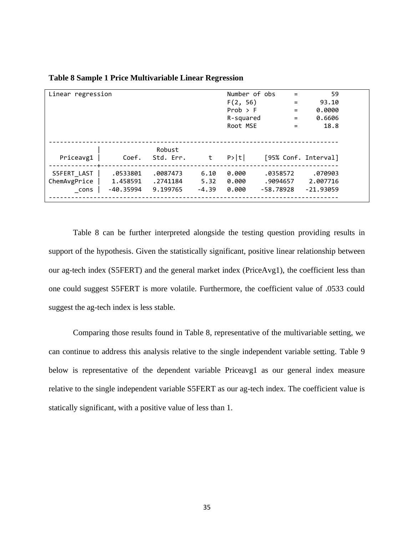| Linear regression |           |           |         | Number of obs | $=$       | 59                   |
|-------------------|-----------|-----------|---------|---------------|-----------|----------------------|
|                   |           |           |         | F(2, 56)      | $=$       | 93.10                |
|                   |           |           |         | Prob > F      | $=$       | 0.0000               |
|                   |           |           |         | R-squared     | $=$       | 0.6606               |
|                   |           |           |         | Root MSE      | $=$       | 18.8                 |
|                   |           |           |         |               |           |                      |
|                   |           |           |         |               |           |                      |
|                   |           | Robust    |         |               |           |                      |
| Priceavg1         | Coef.     | Std. Err. | t       | P> t          |           | [95% Conf. Interval] |
|                   |           |           |         |               |           |                      |
| S5FERT LAST       | .0533801  | .0087473  | 6.10    | 0.000         | .0358572  | .070903              |
| ChemAvgPrice      | 1.458591  | .2741184  | 5.32    | 0.000         | .9094657  | 2.007716             |
| cons              | -40.35994 | 9.199765  | $-4.39$ | 0.000         | -58.78928 | $-21.93059$          |
|                   |           |           |         |               |           |                      |

<span id="page-44-0"></span>**Table 8 Sample 1 Price Multivariable Linear Regression**

Table 8 can be further interpreted alongside the testing question providing results in support of the hypothesis. Given the statistically significant, positive linear relationship between our ag-tech index (S5FERT) and the general market index (PriceAvg1), the coefficient less than one could suggest S5FERT is more volatile. Furthermore, the coefficient value of .0533 could suggest the ag-tech index is less stable.

Comparing those results found in Table 8, representative of the multivariable setting, we can continue to address this analysis relative to the single independent variable setting. Table 9 below is representative of the dependent variable Priceavg1 as our general index measure relative to the single independent variable S5FERT as our ag-tech index. The coefficient value is statically significant, with a positive value of less than 1.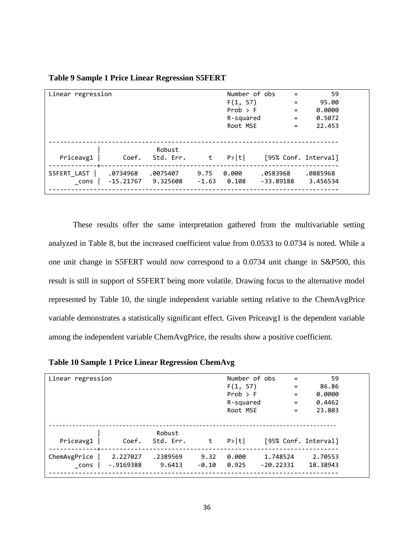| Linear regression |             |                     |         | Number of obs | $=$         | 59                   |  |
|-------------------|-------------|---------------------|---------|---------------|-------------|----------------------|--|
|                   |             |                     |         | F(1, 57)      | $=$         | 95.00                |  |
|                   |             |                     |         | Prob > F      | $=$         | 0.0000               |  |
|                   |             |                     |         | R-squared     | $=$         | 0.5072               |  |
|                   |             |                     |         | Root MSE      | $=$         | 22.453               |  |
|                   |             |                     |         |               |             |                      |  |
|                   |             |                     |         |               |             |                      |  |
| Priceavg1         | Coef.       | Robust<br>Std. Err. | t       | P> t          |             | [95% Conf. Interval] |  |
|                   |             |                     |         |               |             |                      |  |
| S5FERT_LAST       | .0734968    | .0075407            | 9.75    | 0.000         | .0583968    | .0885968             |  |
| cons              | $-15.21767$ | 9.325608            | $-1.63$ | 0.108         | $-33.89188$ | 3.456534             |  |
|                   |             |                     |         |               |             |                      |  |

<span id="page-45-0"></span>**Table 9 Sample 1 Price Linear Regression S5FERT**

These results offer the same interpretation gathered from the multivariable setting analyzed in Table 8, but the increased coefficient value from 0.0533 to 0.0734 is noted. While a one unit change in S5FERT would now correspond to a 0.0734 unit change in S&P500, this result is still in support of S5FERT being more volatile. Drawing focus to the alternative model represented by Table 10, the single independent variable setting relative to the ChemAvgPrice variable demonstrates a statistically significant effect. Given Priceavg1 is the dependent variable among the independent variable ChemAvgPrice, the results show a positive coefficient.

<span id="page-45-1"></span>

|  |  |  |  | Table 10 Sample 1 Price Linear Regression ChemAvg |  |
|--|--|--|--|---------------------------------------------------|--|
|  |  |  |  |                                                   |  |

| Linear regression             |                         |                     |                 | Number of obs<br>F(1, 57)<br>$Prob$ > F<br>R-squared<br>Root MSE | $\qquad \qquad =$<br>$\equiv$<br>$=$<br>$=$<br>$=$ | 59<br>86.86<br>0.0000<br>0.4462<br>23.803 |
|-------------------------------|-------------------------|---------------------|-----------------|------------------------------------------------------------------|----------------------------------------------------|-------------------------------------------|
| Priceavg1                     | Coef.                   | Robust<br>Std. Err. | t               | P> t                                                             | [95% Conf. Interval]                               |                                           |
| --+--<br>ChemAvgPrice<br>cons | 2.227027<br>$-.9169388$ | .2389569<br>9.6413  | 9.32<br>$-0.10$ | 0.000<br>0.925                                                   | 1.748524<br>$-20.22331$                            | 2.70553<br>18.38943                       |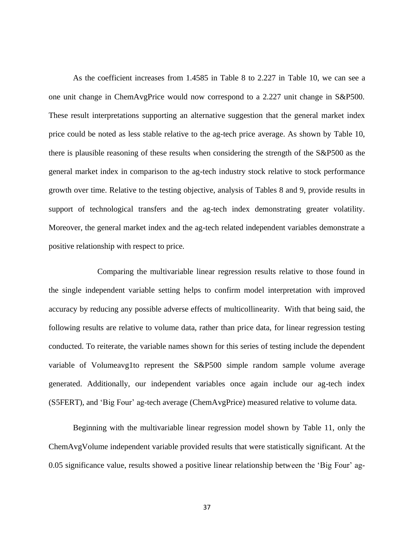As the coefficient increases from 1.4585 in Table 8 to 2.227 in Table 10, we can see a one unit change in ChemAvgPrice would now correspond to a 2.227 unit change in S&P500. These result interpretations supporting an alternative suggestion that the general market index price could be noted as less stable relative to the ag-tech price average. As shown by Table 10, there is plausible reasoning of these results when considering the strength of the S&P500 as the general market index in comparison to the ag-tech industry stock relative to stock performance growth over time. Relative to the testing objective, analysis of Tables 8 and 9, provide results in support of technological transfers and the ag-tech index demonstrating greater volatility. Moreover, the general market index and the ag-tech related independent variables demonstrate a positive relationship with respect to price.

Comparing the multivariable linear regression results relative to those found in the single independent variable setting helps to confirm model interpretation with improved accuracy by reducing any possible adverse effects of multicollinearity. With that being said, the following results are relative to volume data, rather than price data, for linear regression testing conducted. To reiterate, the variable names shown for this series of testing include the dependent variable of Volumeavg1to represent the S&P500 simple random sample volume average generated. Additionally, our independent variables once again include our ag-tech index (S5FERT), and 'Big Four' ag-tech average (ChemAvgPrice) measured relative to volume data.

Beginning with the multivariable linear regression model shown by Table 11, only the ChemAvgVolume independent variable provided results that were statistically significant. At the 0.05 significance value, results showed a positive linear relationship between the 'Big Four' ag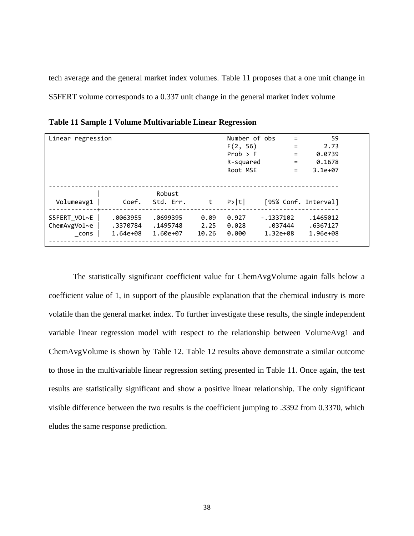tech average and the general market index volumes. Table 11 proposes that a one unit change in S5FERT volume corresponds to a 0.337 unit change in the general market index volume

| Linear regression                    |                                  |                                  |                       | Number of obs<br>F(2, 56)<br>Prob $>$ F<br>R-squared<br>Root MSE | $=$<br>$=$<br>$=$<br>$=$<br>$\qquad \qquad =$ | 59<br>2.73<br>0.0739<br>0.1678<br>$3.1e+07$ |
|--------------------------------------|----------------------------------|----------------------------------|-----------------------|------------------------------------------------------------------|-----------------------------------------------|---------------------------------------------|
| Volumeavg1                           | Coef.                            | Robust<br>Std. Err.              | t                     | P> t                                                             | [95% Conf. Interval]                          |                                             |
| S5FERT VOL~E<br>ChemAvgVol~e<br>cons | .0063955<br>.3370784<br>1.64e+08 | .0699395<br>.1495748<br>1.60e+07 | 0.09<br>2.25<br>10.26 | 0.927<br>0.028<br>0.000                                          | $-.1337102$<br>.037444<br>1.32e+08            | .1465012<br>.6367127<br>1.96e+08            |

<span id="page-47-0"></span>**Table 11 Sample 1 Volume Multivariable Linear Regression**

The statistically significant coefficient value for ChemAvgVolume again falls below a coefficient value of 1, in support of the plausible explanation that the chemical industry is more volatile than the general market index. To further investigate these results, the single independent variable linear regression model with respect to the relationship between VolumeAvg1 and ChemAvgVolume is shown by Table 12. Table 12 results above demonstrate a similar outcome to those in the multivariable linear regression setting presented in Table 11. Once again, the test results are statistically significant and show a positive linear relationship. The only significant visible difference between the two results is the coefficient jumping to .3392 from 0.3370, which eludes the same response prediction.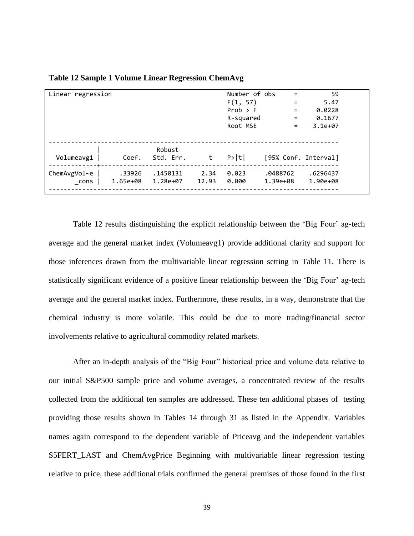| Linear regression   |          |                     |       | Number of obs | $=$                  | 59        |
|---------------------|----------|---------------------|-------|---------------|----------------------|-----------|
|                     |          |                     |       | F(1, 57)      | $=$                  | 5.47      |
|                     |          |                     |       | Prob > F      | $=$                  | 0.0228    |
|                     |          |                     |       | R-squared     | $=$                  | 0.1677    |
|                     |          |                     |       | Root MSE      | $=$                  | $3.1e+07$ |
|                     |          |                     |       |               |                      |           |
|                     |          |                     |       |               |                      |           |
| Volumeavg1          | Coef.    | Robust<br>Std. Err. | t     | P> t          | [95% Conf. Interval] |           |
|                     |          |                     |       |               |                      |           |
| $ChemAvgVol \sim e$ | .33926   | .1450131            | 2.34  | 0.023         | .0488762             | .6296437  |
| cons                | 1.65e+08 | 1.28e+07            | 12.93 | 0.000         | 1.39e+08             | 1.90e+08  |
|                     |          |                     |       |               |                      |           |

<span id="page-48-0"></span>**Table 12 Sample 1 Volume Linear Regression ChemAvg**

Table 12 results distinguishing the explicit relationship between the 'Big Four' ag-tech average and the general market index (Volumeavg1) provide additional clarity and support for those inferences drawn from the multivariable linear regression setting in Table 11. There is statistically significant evidence of a positive linear relationship between the 'Big Four' ag-tech average and the general market index. Furthermore, these results, in a way, demonstrate that the chemical industry is more volatile. This could be due to more trading/financial sector involvements relative to agricultural commodity related markets.

After an in-depth analysis of the "Big Four" historical price and volume data relative to our initial S&P500 sample price and volume averages, a concentrated review of the results collected from the additional ten samples are addressed. These ten additional phases of testing providing those results shown in Tables 14 through 31 as listed in the Appendix. Variables names again correspond to the dependent variable of Priceavg and the independent variables S5FERT\_LAST and ChemAvgPrice Beginning with multivariable linear regression testing relative to price, these additional trials confirmed the general premises of those found in the first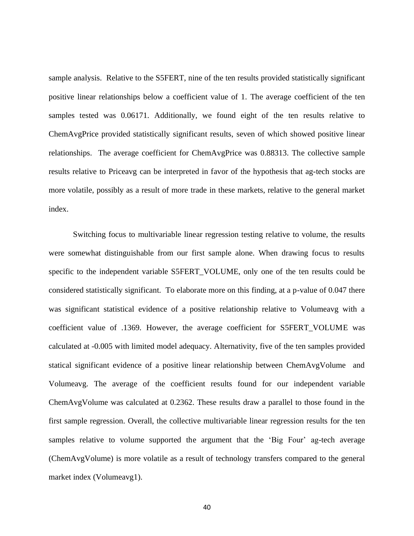sample analysis. Relative to the S5FERT, nine of the ten results provided statistically significant positive linear relationships below a coefficient value of 1. The average coefficient of the ten samples tested was 0.06171. Additionally, we found eight of the ten results relative to ChemAvgPrice provided statistically significant results, seven of which showed positive linear relationships. The average coefficient for ChemAvgPrice was 0.88313. The collective sample results relative to Priceavg can be interpreted in favor of the hypothesis that ag-tech stocks are more volatile, possibly as a result of more trade in these markets, relative to the general market index.

Switching focus to multivariable linear regression testing relative to volume, the results were somewhat distinguishable from our first sample alone. When drawing focus to results specific to the independent variable S5FERT\_VOLUME, only one of the ten results could be considered statistically significant. To elaborate more on this finding, at a p-value of 0.047 there was significant statistical evidence of a positive relationship relative to Volumeavg with a coefficient value of .1369. However, the average coefficient for S5FERT\_VOLUME was calculated at -0.005 with limited model adequacy. Alternativity, five of the ten samples provided statical significant evidence of a positive linear relationship between ChemAvgVolume and Volumeavg. The average of the coefficient results found for our independent variable ChemAvgVolume was calculated at 0.2362. These results draw a parallel to those found in the first sample regression. Overall, the collective multivariable linear regression results for the ten samples relative to volume supported the argument that the 'Big Four' ag-tech average (ChemAvgVolume) is more volatile as a result of technology transfers compared to the general market index (Volumeavg1).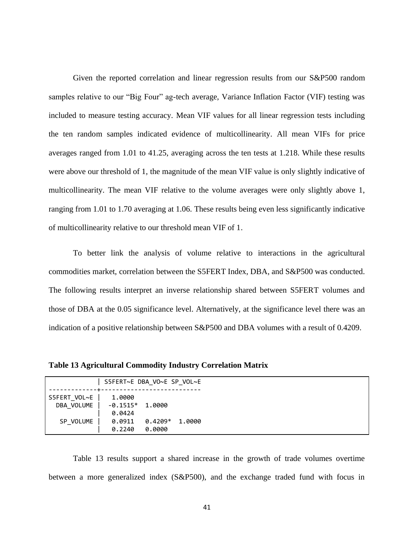Given the reported correlation and linear regression results from our S&P500 random samples relative to our "Big Four" ag-tech average, Variance Inflation Factor (VIF) testing was included to measure testing accuracy. Mean VIF values for all linear regression tests including the ten random samples indicated evidence of multicollinearity. All mean VIFs for price averages ranged from 1.01 to 41.25, averaging across the ten tests at 1.218. While these results were above our threshold of 1, the magnitude of the mean VIF value is only slightly indicative of multicollinearity. The mean VIF relative to the volume averages were only slightly above 1, ranging from 1.01 to 1.70 averaging at 1.06. These results being even less significantly indicative of multicollinearity relative to our threshold mean VIF of 1.

To better link the analysis of volume relative to interactions in the agricultural commodities market, correlation between the S5FERT Index, DBA, and S&P500 was conducted. The following results interpret an inverse relationship shared between S5FERT volumes and those of DBA at the 0.05 significance level. Alternatively, at the significance level there was an indication of a positive relationship between S&P500 and DBA volumes with a result of 0.4209.

<span id="page-50-0"></span>**Table 13 Agricultural Commodity Industry Correlation Matrix**

|                            | S5FERT~E DBA VO~E SP VOL~E            |                     |        |
|----------------------------|---------------------------------------|---------------------|--------|
| S5FERT VOL~E<br>DBA VOLUME | 1.0000<br>$-0.1515*$ 1.0000<br>0.0424 |                     |        |
| SP VOLUME                  | 0.0911<br>0.2240                      | $0.4209*$<br>0.0000 | 1.0000 |

Table 13 results support a shared increase in the growth of trade volumes overtime between a more generalized index (S&P500), and the exchange traded fund with focus in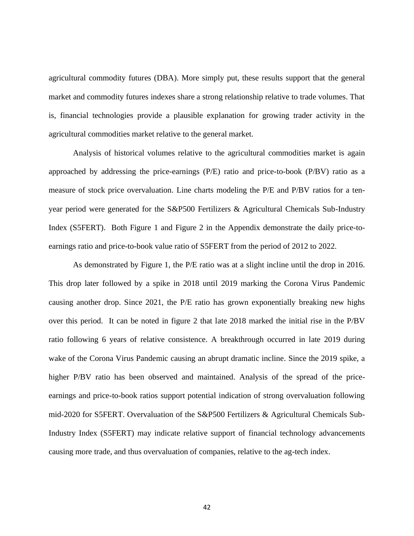agricultural commodity futures (DBA). More simply put, these results support that the general market and commodity futures indexes share a strong relationship relative to trade volumes. That is, financial technologies provide a plausible explanation for growing trader activity in the agricultural commodities market relative to the general market.

Analysis of historical volumes relative to the agricultural commodities market is again approached by addressing the price-earnings (P/E) ratio and price-to-book (P/BV) ratio as a measure of stock price overvaluation. Line charts modeling the P/E and P/BV ratios for a tenyear period were generated for the S&P500 Fertilizers & Agricultural Chemicals Sub-Industry Index (S5FERT). Both Figure 1 and Figure 2 in the Appendix demonstrate the daily price-toearnings ratio and price-to-book value ratio of S5FERT from the period of 2012 to 2022.

As demonstrated by Figure 1, the P/E ratio was at a slight incline until the drop in 2016. This drop later followed by a spike in 2018 until 2019 marking the Corona Virus Pandemic causing another drop. Since 2021, the P/E ratio has grown exponentially breaking new highs over this period. It can be noted in figure 2 that late 2018 marked the initial rise in the P/BV ratio following 6 years of relative consistence. A breakthrough occurred in late 2019 during wake of the Corona Virus Pandemic causing an abrupt dramatic incline. Since the 2019 spike, a higher P/BV ratio has been observed and maintained. Analysis of the spread of the priceearnings and price-to-book ratios support potential indication of strong overvaluation following mid-2020 for S5FERT. Overvaluation of the S&P500 Fertilizers & Agricultural Chemicals Sub-Industry Index (S5FERT) may indicate relative support of financial technology advancements causing more trade, and thus overvaluation of companies, relative to the ag-tech index.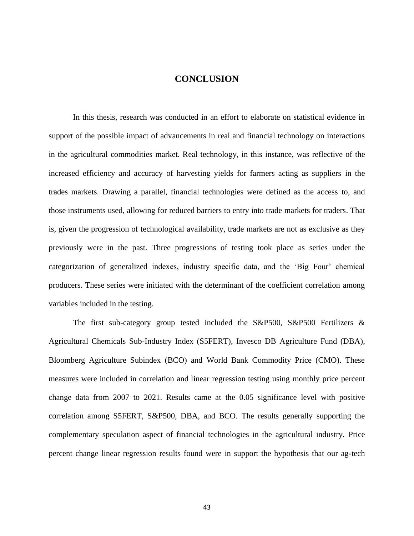#### **CONCLUSION**

<span id="page-52-0"></span>In this thesis, research was conducted in an effort to elaborate on statistical evidence in support of the possible impact of advancements in real and financial technology on interactions in the agricultural commodities market. Real technology, in this instance, was reflective of the increased efficiency and accuracy of harvesting yields for farmers acting as suppliers in the trades markets. Drawing a parallel, financial technologies were defined as the access to, and those instruments used, allowing for reduced barriers to entry into trade markets for traders. That is, given the progression of technological availability, trade markets are not as exclusive as they previously were in the past. Three progressions of testing took place as series under the categorization of generalized indexes, industry specific data, and the 'Big Four' chemical producers. These series were initiated with the determinant of the coefficient correlation among variables included in the testing.

The first sub-category group tested included the S&P500, S&P500 Fertilizers & Agricultural Chemicals Sub-Industry Index (S5FERT), Invesco DB Agriculture Fund (DBA), Bloomberg Agriculture Subindex (BCO) and World Bank Commodity Price (CMO). These measures were included in correlation and linear regression testing using monthly price percent change data from 2007 to 2021. Results came at the 0.05 significance level with positive correlation among S5FERT, S&P500, DBA, and BCO. The results generally supporting the complementary speculation aspect of financial technologies in the agricultural industry. Price percent change linear regression results found were in support the hypothesis that our ag-tech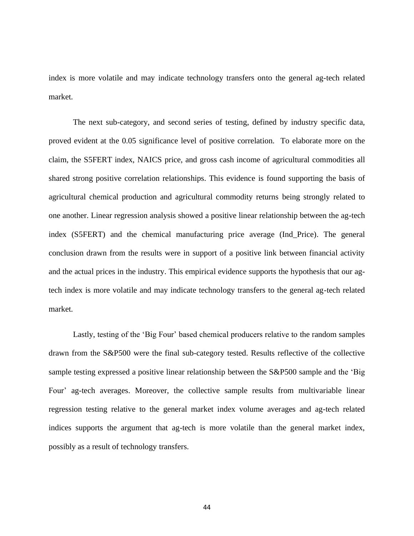index is more volatile and may indicate technology transfers onto the general ag-tech related market.

The next sub-category, and second series of testing, defined by industry specific data, proved evident at the 0.05 significance level of positive correlation. To elaborate more on the claim, the S5FERT index, NAICS price, and gross cash income of agricultural commodities all shared strong positive correlation relationships. This evidence is found supporting the basis of agricultural chemical production and agricultural commodity returns being strongly related to one another. Linear regression analysis showed a positive linear relationship between the ag-tech index (S5FERT) and the chemical manufacturing price average (Ind\_Price). The general conclusion drawn from the results were in support of a positive link between financial activity and the actual prices in the industry. This empirical evidence supports the hypothesis that our agtech index is more volatile and may indicate technology transfers to the general ag-tech related market.

Lastly, testing of the 'Big Four' based chemical producers relative to the random samples drawn from the S&P500 were the final sub-category tested. Results reflective of the collective sample testing expressed a positive linear relationship between the S&P500 sample and the 'Big Four' ag-tech averages. Moreover, the collective sample results from multivariable linear regression testing relative to the general market index volume averages and ag-tech related indices supports the argument that ag-tech is more volatile than the general market index, possibly as a result of technology transfers.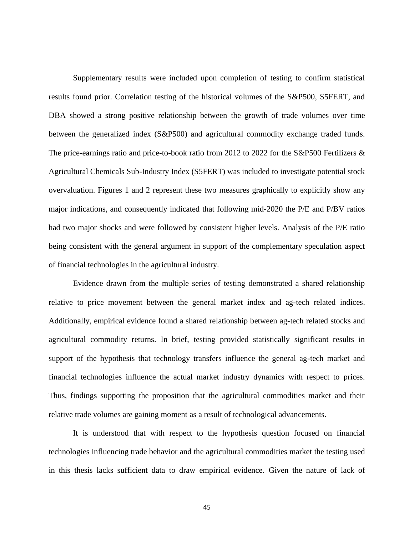Supplementary results were included upon completion of testing to confirm statistical results found prior. Correlation testing of the historical volumes of the S&P500, S5FERT, and DBA showed a strong positive relationship between the growth of trade volumes over time between the generalized index (S&P500) and agricultural commodity exchange traded funds. The price-earnings ratio and price-to-book ratio from 2012 to 2022 for the S&P500 Fertilizers & Agricultural Chemicals Sub-Industry Index (S5FERT) was included to investigate potential stock overvaluation. Figures 1 and 2 represent these two measures graphically to explicitly show any major indications, and consequently indicated that following mid-2020 the P/E and P/BV ratios had two major shocks and were followed by consistent higher levels. Analysis of the P/E ratio being consistent with the general argument in support of the complementary speculation aspect of financial technologies in the agricultural industry.

Evidence drawn from the multiple series of testing demonstrated a shared relationship relative to price movement between the general market index and ag-tech related indices. Additionally, empirical evidence found a shared relationship between ag-tech related stocks and agricultural commodity returns. In brief, testing provided statistically significant results in support of the hypothesis that technology transfers influence the general ag-tech market and financial technologies influence the actual market industry dynamics with respect to prices. Thus, findings supporting the proposition that the agricultural commodities market and their relative trade volumes are gaining moment as a result of technological advancements.

It is understood that with respect to the hypothesis question focused on financial technologies influencing trade behavior and the agricultural commodities market the testing used in this thesis lacks sufficient data to draw empirical evidence. Given the nature of lack of

45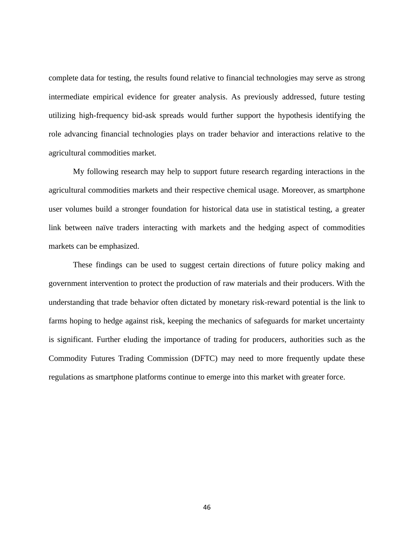complete data for testing, the results found relative to financial technologies may serve as strong intermediate empirical evidence for greater analysis. As previously addressed, future testing utilizing high-frequency bid-ask spreads would further support the hypothesis identifying the role advancing financial technologies plays on trader behavior and interactions relative to the agricultural commodities market.

My following research may help to support future research regarding interactions in the agricultural commodities markets and their respective chemical usage. Moreover, as smartphone user volumes build a stronger foundation for historical data use in statistical testing, a greater link between naïve traders interacting with markets and the hedging aspect of commodities markets can be emphasized.

These findings can be used to suggest certain directions of future policy making and government intervention to protect the production of raw materials and their producers. With the understanding that trade behavior often dictated by monetary risk-reward potential is the link to farms hoping to hedge against risk, keeping the mechanics of safeguards for market uncertainty is significant. Further eluding the importance of trading for producers, authorities such as the Commodity Futures Trading Commission (DFTC) may need to more frequently update these regulations as smartphone platforms continue to emerge into this market with greater force.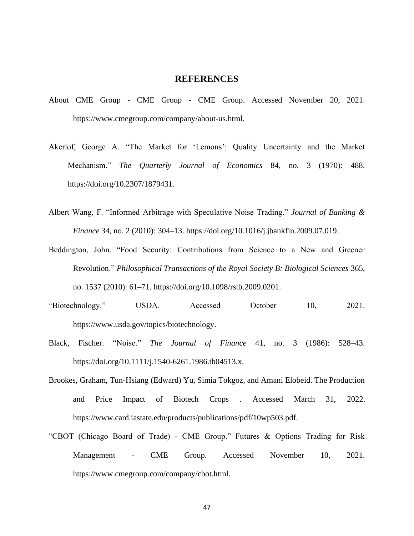#### **REFERENCES**

- <span id="page-56-0"></span>About CME Group - CME Group - CME Group. Accessed November 20, 2021. https://www.cmegroup.com/company/about-us.html.
- Akerlof, George A. "The Market for 'Lemons': Quality Uncertainty and the Market Mechanism." *The Quarterly Journal of Economics* 84, no. 3 (1970): 488. https://doi.org/10.2307/1879431.
- Albert Wang, F. "Informed Arbitrage with Speculative Noise Trading." *Journal of Banking & Finance* 34, no. 2 (2010): 304–13. https://doi.org/10.1016/j.jbankfin.2009.07.019.
- Beddington, John. "Food Security: Contributions from Science to a New and Greener Revolution." *Philosophical Transactions of the Royal Society B: Biological Sciences* 365, no. 1537 (2010): 61–71. https://doi.org/10.1098/rstb.2009.0201.
- "Biotechnology." USDA. Accessed October 10, 2021. https://www.usda.gov/topics/biotechnology.
- Black, Fischer. "Noise." *The Journal of Finance* 41, no. 3 (1986): 528–43. https://doi.org/10.1111/j.1540-6261.1986.tb04513.x.
- Brookes, Graham, Tun-Hsiang (Edward) Yu, Simia Tokgoz, and Amani Elobeid. The Production and Price Impact of Biotech Crops . Accessed March 31, 2022. https://www.card.iastate.edu/products/publications/pdf/10wp503.pdf.
- "CBOT (Chicago Board of Trade) CME Group." Futures & Options Trading for Risk Management - CME Group. Accessed November 10, 2021. https://www.cmegroup.com/company/cbot.html.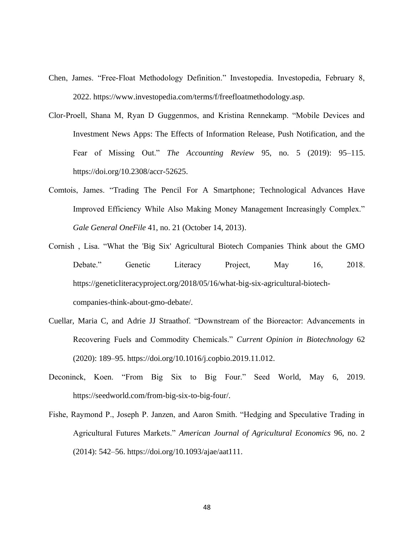- Chen, James. "Free-Float Methodology Definition." Investopedia. Investopedia, February 8, 2022. https://www.investopedia.com/terms/f/freefloatmethodology.asp.
- Clor-Proell, Shana M, Ryan D Guggenmos, and Kristina Rennekamp. "Mobile Devices and Investment News Apps: The Effects of Information Release, Push Notification, and the Fear of Missing Out." *The Accounting Review* 95, no. 5 (2019): 95–115. https://doi.org/10.2308/accr-52625.
- Comtois, James. "Trading The Pencil For A Smartphone; Technological Advances Have Improved Efficiency While Also Making Money Management Increasingly Complex." *Gale General OneFile* 41, no. 21 (October 14, 2013).
- Cornish , Lisa. "What the 'Big Six' Agricultural Biotech Companies Think about the GMO Debate." Genetic Literacy Project, May 16, 2018. https://geneticliteracyproject.org/2018/05/16/what-big-six-agricultural-biotechcompanies-think-about-gmo-debate/.
- Cuellar, Maria C, and Adrie JJ Straathof. "Downstream of the Bioreactor: Advancements in Recovering Fuels and Commodity Chemicals." *Current Opinion in Biotechnology* 62 (2020): 189–95. https://doi.org/10.1016/j.copbio.2019.11.012.
- Deconinck, Koen. "From Big Six to Big Four." Seed World, May 6, 2019. https://seedworld.com/from-big-six-to-big-four/.
- Fishe, Raymond P., Joseph P. Janzen, and Aaron Smith. "Hedging and Speculative Trading in Agricultural Futures Markets." *American Journal of Agricultural Economics* 96, no. 2 (2014): 542–56. https://doi.org/10.1093/ajae/aat111.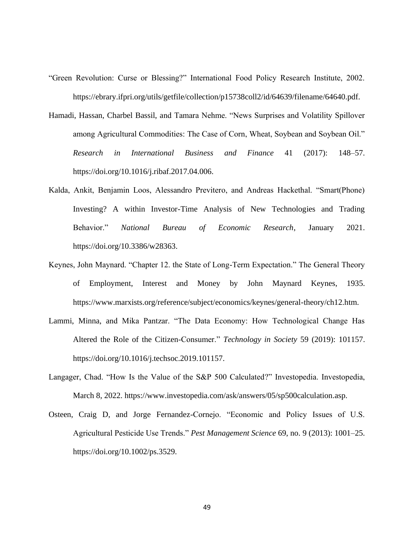- "Green Revolution: Curse or Blessing?" International Food Policy Research Institute, 2002. https://ebrary.ifpri.org/utils/getfile/collection/p15738coll2/id/64639/filename/64640.pdf.
- Hamadi, Hassan, Charbel Bassil, and Tamara Nehme. "News Surprises and Volatility Spillover among Agricultural Commodities: The Case of Corn, Wheat, Soybean and Soybean Oil." *Research in International Business and Finance* 41 (2017): 148–57. https://doi.org/10.1016/j.ribaf.2017.04.006.
- Kalda, Ankit, Benjamin Loos, Alessandro Previtero, and Andreas Hackethal. "Smart(Phone) Investing? A within Investor-Time Analysis of New Technologies and Trading Behavior." *National Bureau of Economic Research*, January 2021. https://doi.org/10.3386/w28363.
- Keynes, John Maynard. "Chapter 12. the State of Long-Term Expectation." The General Theory of Employment, Interest and Money by John Maynard Keynes, 1935. https://www.marxists.org/reference/subject/economics/keynes/general-theory/ch12.htm.
- Lammi, Minna, and Mika Pantzar. "The Data Economy: How Technological Change Has Altered the Role of the Citizen-Consumer." *Technology in Society* 59 (2019): 101157. https://doi.org/10.1016/j.techsoc.2019.101157.
- Langager, Chad. "How Is the Value of the S&P 500 Calculated?" Investopedia. Investopedia, March 8, 2022. https://www.investopedia.com/ask/answers/05/sp500calculation.asp.
- Osteen, Craig D, and Jorge Fernandez-Cornejo. "Economic and Policy Issues of U.S. Agricultural Pesticide Use Trends." *Pest Management Science* 69, no. 9 (2013): 1001–25. https://doi.org/10.1002/ps.3529.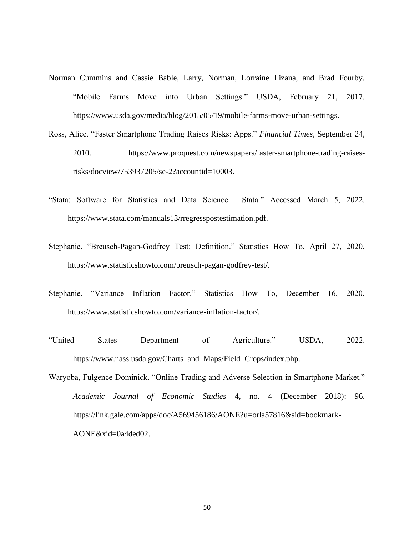- Norman Cummins and Cassie Bable, Larry, Norman, Lorraine Lizana, and Brad Fourby. "Mobile Farms Move into Urban Settings." USDA, February 21, 2017. https://www.usda.gov/media/blog/2015/05/19/mobile-farms-move-urban-settings.
- Ross, Alice. "Faster Smartphone Trading Raises Risks: Apps." *Financial Times*, September 24, 2010. https://www.proquest.com/newspapers/faster-smartphone-trading-raisesrisks/docview/753937205/se-2?accountid=10003.
- "Stata: Software for Statistics and Data Science | Stata." Accessed March 5, 2022. https://www.stata.com/manuals13/rregresspostestimation.pdf.
- Stephanie. "Breusch-Pagan-Godfrey Test: Definition." Statistics How To, April 27, 2020. https://www.statisticshowto.com/breusch-pagan-godfrey-test/.
- Stephanie. "Variance Inflation Factor." Statistics How To, December 16, 2020. https://www.statisticshowto.com/variance-inflation-factor/.
- "United States Department of Agriculture." USDA, 2022. https://www.nass.usda.gov/Charts\_and\_Maps/Field\_Crops/index.php.
- Waryoba, Fulgence Dominick. "Online Trading and Adverse Selection in Smartphone Market." *Academic Journal of Economic Studies* 4, no. 4 (December 2018): 96. https://link.gale.com/apps/doc/A569456186/AONE?u=orla57816&sid=bookmark-AONE&xid=0a4ded02.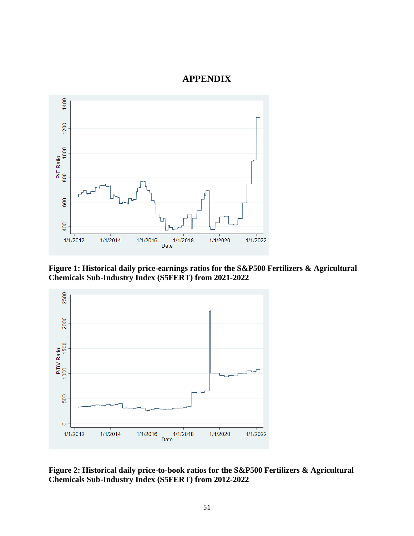### **APPENDIX**

<span id="page-60-0"></span>

<span id="page-60-1"></span>**Figure 1: Historical daily price-earnings ratios for the S&P500 Fertilizers & Agricultural Chemicals Sub-Industry Index (S5FERT) from 2021-2022**



<span id="page-60-2"></span>**Figure 2: Historical daily price-to-book ratios for the S&P500 Fertilizers & Agricultural Chemicals Sub-Industry Index (S5FERT) from 2012-2022**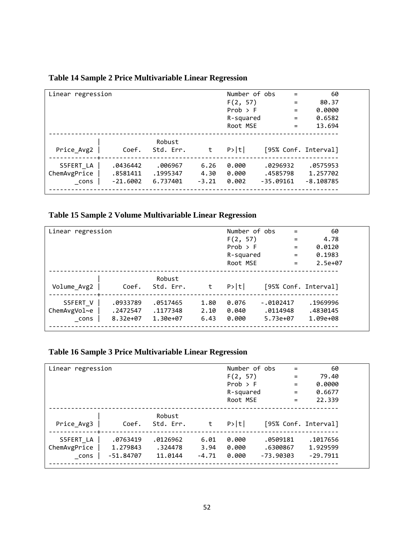| Linear regression |            |           |         | Number of obs | $\qquad \qquad =$ | 60                   |
|-------------------|------------|-----------|---------|---------------|-------------------|----------------------|
|                   |            |           |         | F(2, 57)      | $\equiv$          | 80.37                |
|                   |            |           |         | Prob > F      | $=$               | 0.0000               |
|                   |            |           |         | R-squared     | $\qquad \qquad =$ | 0.6582               |
|                   |            |           |         | Root MSE      | $=$               | 13.694               |
|                   |            |           |         |               |                   |                      |
|                   |            | Robust    |         |               |                   |                      |
| Price_Avg2        | Coef.      | Std. Err. | t       | P> t          |                   | [95% Conf. Interval] |
|                   |            |           |         |               |                   |                      |
| S5FERT LA         | .0436442   | .006967   | 6.26    | 0.000         | .0296932          | .0575953             |
| ChemAvgPrice      | .8581411   | .1995347  | 4.30    | 0.000         | .4585798          | 1.257702             |
| cons              | $-21.6002$ | 6.737401  | $-3.21$ | 0.002         | $-35.09161$       | $-8.108785$          |
|                   |            |           |         |               |                   |                      |

### <span id="page-61-0"></span>**Table 14 Sample 2 Price Multivariable Linear Regression**

### <span id="page-61-1"></span>**Table 15 Sample 2 Volume Multivariable Linear Regression**

| Linear regression |          |           |      | Number of obs | $\qquad \qquad =$ | 60                   |
|-------------------|----------|-----------|------|---------------|-------------------|----------------------|
|                   |          |           |      | F(2, 57)      | $=$               | 4.78                 |
|                   |          |           |      | Prob > F      | $=$               | 0.0120               |
|                   |          |           |      | R-squared     | $=$               | 0.1983               |
|                   |          |           |      | Root MSE      | $=$               | $2.5e+07$            |
|                   |          |           |      |               |                   |                      |
|                   |          | Robust    |      |               |                   |                      |
| Volume Avg2       | Coef.    | Std. Err. | t    | P> t          |                   | [95% Conf. Interval] |
| S5FERT V          | .0933789 | .0517465  | 1.80 | 0.076         | $-0.0102417$      | .1969996             |
| ChemAvgVol~e      | .2472547 | .1177348  | 2.10 | 0.040         | .0114948          | .4830145             |
| cons              | 8.32e+07 | 1.30e+07  | 6.43 | 0.000         | 5.73e+07          | 1.09e+08             |
|                   |          |           |      |               |                   |                      |

## <span id="page-61-2"></span>**Table 16 Sample 3 Price Multivariable Linear Regression**

| Linear regression |             |                     |         | Number of obs | $\equiv$    | 60                   |
|-------------------|-------------|---------------------|---------|---------------|-------------|----------------------|
|                   |             |                     |         | F(2, 57)      | $\equiv$    | 79.40                |
|                   |             |                     |         | Prob > F      | $=$         | 0.0000               |
|                   |             |                     |         | R-squared     | $=$         | 0.6677               |
|                   |             |                     |         | Root MSE      | $=$         | 22.339               |
| Price Avg3        | Coef.       | Robust<br>Std. Err. |         | P> t          |             | [95% Conf. Interval] |
| S5FERT LA         | .0763419    | .0126962            | 6.01    | 0.000         | .0509181    | .1017656             |
| ChemAvgPrice      | 1.279843    | .324478             | 3.94    | 0.000         | .6300867    | 1.929599             |
| cons              | $-51.84707$ | 11.0144             | $-4.71$ | 0.000         | $-73.90303$ | $-29.7911$           |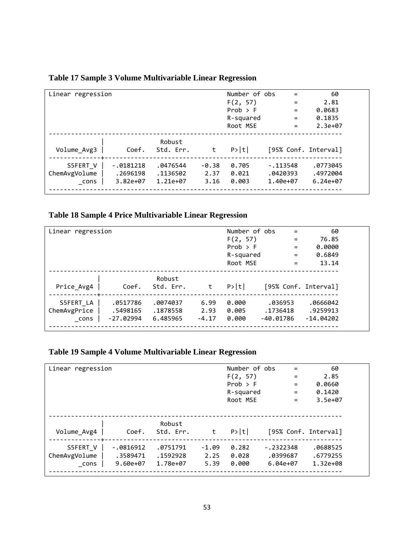| Linear regression |             |           |         | Number of obs | $=$                  | 60         |
|-------------------|-------------|-----------|---------|---------------|----------------------|------------|
|                   |             |           |         | F(2, 57)      | $=$                  | 2.81       |
|                   |             |           |         | Prob > F      | $=$                  | 0.0683     |
|                   |             |           |         | R-squared     | $=$                  | 0.1835     |
|                   |             |           |         | Root MSE      | $=$                  | $2.3e+07$  |
|                   |             |           |         |               |                      |            |
|                   |             | Robust    |         |               |                      |            |
| Volume Avg3       | Coef.       | Std. Err. | t       | P> t          | [95% Conf. Interval] |            |
|                   |             |           |         |               |                      |            |
| S5FERT V          | $-.0181218$ | .0476544  | $-0.38$ | 0.705         | $-.113548$           | .0773045   |
| ChemAvgVolume     | .2696198    | .1136502  | 2.37    | 0.021         | .0420393             | .4972004   |
| cons              | $3.82e+07$  | 1.21e+07  | 3.16    | 0.003         | 1.40e+07             | $6.24e+07$ |
|                   |             |           |         |               |                      |            |

### <span id="page-62-0"></span>**Table 17 Sample 3 Volume Multivariable Linear Regression**

### <span id="page-62-1"></span>**Table 18 Sample 4 Price Multivariable Linear Regression**

| Linear regression |             |                     |         | Number of obs | $\qquad \qquad =$    | 60          |
|-------------------|-------------|---------------------|---------|---------------|----------------------|-------------|
|                   |             |                     |         | F(2, 57)      | $=$                  | 76.85       |
|                   |             |                     |         | $Prob$ > F    | $=$                  | 0.0000      |
|                   |             |                     |         | R-squared     | $\qquad \qquad =$    | 0.6849      |
|                   |             |                     |         | Root MSE      | $\equiv$             | 13.14       |
| Price Avg4        | Coef.       | Robust<br>Std. Err. | t       | P> t          | [95% Conf. Interval] |             |
| S5FERT LA         | .0517786    | .0074037            | 6.99    | 0.000         | .036953              | .0666042    |
| ChemAvgPrice      | .5498165    | .1878558            | 2.93    | 0.005         | .1736418             | .9259913    |
| cons              | $-27.02994$ | 6.485965            | $-4.17$ | 0.000         | $-40.01786$          | $-14.04202$ |

## <span id="page-62-2"></span>**Table 19 Sample 4 Volume Multivariable Linear Regression**

| Linear regression                 |                                         |                                  |                         | Number of obs<br>F(2, 57)<br>Prob > F<br>R-squared<br>Root MSE | $=$<br>$=$<br>$=$<br>$\qquad \qquad =$<br>$=$ | 60<br>2.85<br>0.0660<br>0.1420<br>$3.5e+07$ |  |
|-----------------------------------|-----------------------------------------|----------------------------------|-------------------------|----------------------------------------------------------------|-----------------------------------------------|---------------------------------------------|--|
| Volume_Avg4                       | Coef.                                   | Robust<br>Std. Err.              | t                       | P> t                                                           | [95% Conf. Interval]                          |                                             |  |
| S5FERT_V<br>ChemAvgVolume<br>cons | $-.0816912$<br>.3589471<br>$9.60e + 07$ | .0751791<br>.1592928<br>1.78e+07 | $-1.09$<br>2.25<br>5.39 | 0.282<br>0.028<br>0.000                                        | $-.2322348$<br>.0399687<br>$6.04e+07$         | .0688525<br>.6779255<br>1.32e+08            |  |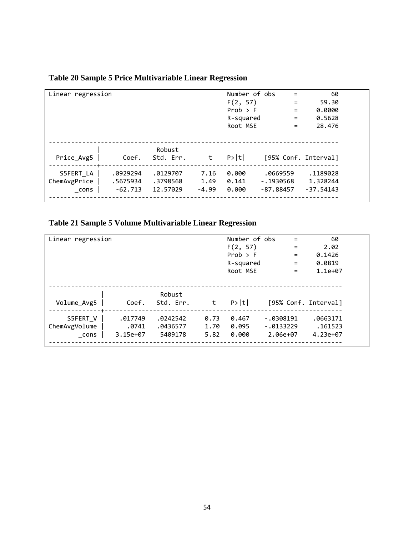| Linear regression                 |                                   |                                  |                         | Number of obs<br>F(2, 57)<br>$Prob$ > F<br>R-squared<br>Root MSE | $=$<br>$=$<br>$=$<br>$=$<br>$=$        | 60<br>59.30<br>0.0000<br>0.5628<br>28.476 |
|-----------------------------------|-----------------------------------|----------------------------------|-------------------------|------------------------------------------------------------------|----------------------------------------|-------------------------------------------|
| Price Avg5                        | Coef.                             | Robust<br>Std. Err.              | t                       | P> t                                                             | [95% Conf. Interval]                   |                                           |
| S5FERT LA<br>ChemAvgPrice<br>cons | .0929294<br>.5675934<br>$-62.713$ | .0129707<br>.3798568<br>12.57029 | 7.16<br>1.49<br>$-4.99$ | 0.000<br>0.141<br>0.000                                          | .0669559<br>$-.1930568$<br>$-87.88457$ | .1189028<br>1.328244<br>$-37.54143$       |

## <span id="page-63-0"></span>**Table 20 Sample 5 Price Multivariable Linear Regression**

## <span id="page-63-1"></span>**Table 21 Sample 5 Volume Multivariable Linear Regression**

| Linear regression                 |                              |                                 |                      | Number of obs<br>F(2, 57)<br>$Prob$ > F<br>R-squared<br>Root MSE | $\qquad \qquad =$<br>$=$<br>$\qquad \qquad =$<br>$=$<br>$\qquad \qquad =$ | 60<br>2.02<br>0.1426<br>0.0819<br>$1.1e+07$ |
|-----------------------------------|------------------------------|---------------------------------|----------------------|------------------------------------------------------------------|---------------------------------------------------------------------------|---------------------------------------------|
| Volume_Avg5                       | Coef.                        | Robust<br>Std. Err.             | t                    | P> t                                                             | [95% Conf. Interval]                                                      |                                             |
| S5FERT V<br>ChemAvgVolume<br>cons | .017749<br>.0741<br>3.15e+07 | .0242542<br>.0436577<br>5409178 | 0.73<br>1.70<br>5.82 | 0.467<br>0.095<br>0.000                                          | $-.0308191$<br>$-.0133229$<br>2.06e+07                                    | .0663171<br>.161523<br>4.23e+07             |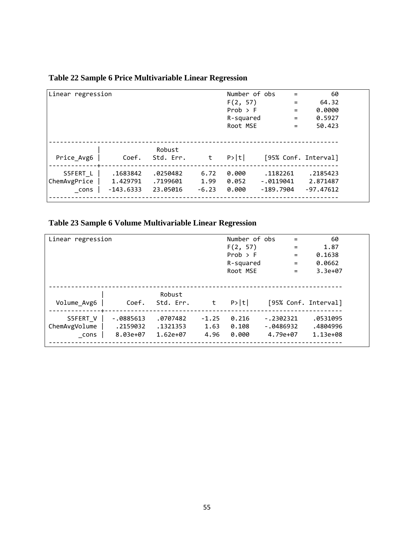| Linear regression                |                                     |                                  |                         | Number of obs<br>F(2, 57)<br>Prob > F<br>R-squared<br>Root MSE | $\equiv$<br>$=$<br>$=$<br>$=$<br>$=$ | 60<br>64.32<br>0.0000<br>0.5927<br>50.423 |
|----------------------------------|-------------------------------------|----------------------------------|-------------------------|----------------------------------------------------------------|--------------------------------------|-------------------------------------------|
| Price Avg6                       | Coef.                               | Robust<br>Std. Err.              | t                       | P> t                                                           |                                      | [95% Conf. Interval]                      |
| S5FERT L<br>ChemAvgPrice<br>cons | .1683842<br>1.429791<br>$-143.6333$ | .0250482<br>.7199601<br>23.05016 | 6.72<br>1.99<br>$-6.23$ | 0.000<br>0.052<br>0.000                                        | .1182261<br>$-.0119041$<br>-189.7904 | .2185423<br>2.871487<br>$-97.47612$       |

### <span id="page-64-0"></span>**Table 22 Sample 6 Price Multivariable Linear Regression**

## <span id="page-64-1"></span>**Table 23 Sample 6 Volume Multivariable Linear Regression**

| Linear regression                 |                                     |                                  | Number of obs<br>F(2, 57)<br>Prob > F<br>R-squared<br>Root MSE | $\qquad \qquad =$<br>$=$<br>$=$<br>$\qquad \qquad =$<br>$=$ | 60<br>1.87<br>0.1638<br>0.0662<br>$3.3e+07$ |                                  |
|-----------------------------------|-------------------------------------|----------------------------------|----------------------------------------------------------------|-------------------------------------------------------------|---------------------------------------------|----------------------------------|
| Volume_Avg6                       | Coef.                               | Robust<br>Std. Err.              | t                                                              | P> t                                                        | [95% Conf. Interval]                        |                                  |
| S5FERT V<br>ChemAvgVolume<br>cons | $-.0885613$<br>.2159032<br>8.03e+07 | .0707482<br>.1321353<br>1.62e+07 | $-1.25$<br>1.63<br>4.96                                        | 0.216<br>0.108<br>0.000                                     | $-.2302321$<br>$-.0486932$<br>4.79e+07      | .0531095<br>.4804996<br>1.13e+08 |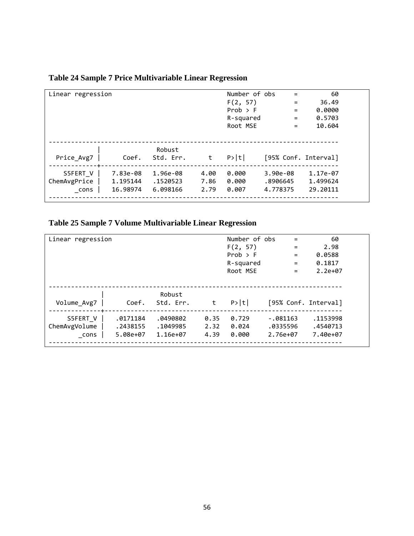| Linear regression                |                                  |                                  |                      | Number of obs<br>F(2, 57)<br>$Prob$ > F<br>R-squared<br>Root MSE | $=$<br>$=$<br>$=$<br>$=$<br>$=$    | 60<br>36.49<br>0.0000<br>0.5703<br>10.604 |
|----------------------------------|----------------------------------|----------------------------------|----------------------|------------------------------------------------------------------|------------------------------------|-------------------------------------------|
| Price_Avg7                       | Coef.                            | Robust<br>Std. Err.              | t                    | P> t                                                             | [95% Conf. Interval]               |                                           |
| S5FERT V<br>ChemAvgPrice<br>cons | 7.83e-08<br>1.195144<br>16.98974 | 1.96e-08<br>.1520523<br>6.098166 | 4.00<br>7.86<br>2.79 | 0.000<br>0.000<br>0.007                                          | $3.90e-08$<br>.8906645<br>4.778375 | 1.17e-07<br>1.499624<br>29.20111          |

## <span id="page-65-0"></span>**Table 24 Sample 7 Price Multivariable Linear Regression**

## <span id="page-65-1"></span>**Table 25 Sample 7 Volume Multivariable Linear Regression**

| Linear regression                 |                                  |                                  |                      | Number of obs<br>F(2, 57)<br>Prob > F<br>R-squared<br>Root MSE | $\qquad \qquad =$<br>$=$<br>$=$<br>$=$<br>$\qquad \qquad =$ | 60<br>2.98<br>0.0588<br>0.1817<br>$2.2e+07$ |
|-----------------------------------|----------------------------------|----------------------------------|----------------------|----------------------------------------------------------------|-------------------------------------------------------------|---------------------------------------------|
| Volume_Avg7                       | Coef.                            | Robust<br>Std. Err.              | t                    | P> t                                                           | [95% Conf. Interval]                                        |                                             |
| S5FERT V<br>ChemAvgVolume<br>cons | .0171184<br>.2438155<br>5.08e+07 | .0490802<br>.1049985<br>1.16e+07 | 0.35<br>2.32<br>4.39 | 0.729<br>0.024<br>0.000                                        | $-.081163$<br>.0335596<br>2.76e+07                          | .1153998<br>.4540713<br>7.40e+07            |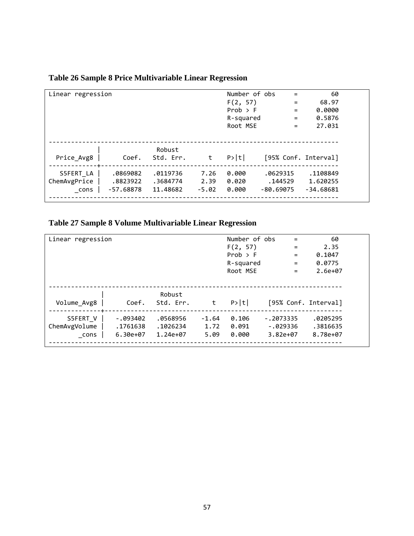| Linear regression                 |                                     |                                  |                         | Number of obs<br>F(2, 57)<br>$Prob$ > F<br>R-squared<br>Root MSE | $=$<br>$=$<br>$=$<br>$=$<br>$=$    | 60<br>68.97<br>0.0000<br>0.5876<br>27.031 |
|-----------------------------------|-------------------------------------|----------------------------------|-------------------------|------------------------------------------------------------------|------------------------------------|-------------------------------------------|
| Price Avg8                        | Coef.                               | Robust<br>Std. Err.              | t                       | P> t                                                             | [95% Conf. Interval]               |                                           |
| S5FERT LA<br>ChemAvgPrice<br>cons | .0869082<br>.8823922<br>$-57.68878$ | .0119736<br>.3684774<br>11.48682 | 7.26<br>2.39<br>$-5.02$ | 0.000<br>0.020<br>0.000                                          | .0629315<br>.144529<br>$-80.69075$ | .1108849<br>1.620255<br>$-34.68681$       |

## <span id="page-66-0"></span>**Table 26 Sample 8 Price Multivariable Linear Regression**

## <span id="page-66-1"></span>**Table 27 Sample 8 Volume Multivariable Linear Regression**

| Linear regression                 |                                      |                                  |                         | Number of obs<br>F(2, 57)<br>$Prob$ > F<br>R-squared<br>Root MSE | $\qquad \qquad =$<br>$=$<br>$\qquad \qquad =$<br>$\qquad \qquad =$<br>$\qquad \qquad =$ | 60<br>2.35<br>0.1047<br>0.0775<br>$2.6e + 07$ |
|-----------------------------------|--------------------------------------|----------------------------------|-------------------------|------------------------------------------------------------------|-----------------------------------------------------------------------------------------|-----------------------------------------------|
| Volume_Avg8                       | Coef.                                | Robust<br>Std. Err.              | t                       | P> t                                                             | [95% Conf. Interval]                                                                    |                                               |
| S5FERT V<br>ChemAvgVolume<br>cons | $-0.93402$<br>.1761638<br>$6.30e+07$ | .0568956<br>.1026234<br>1.24e+07 | $-1.64$<br>1.72<br>5.09 | 0.106<br>0.091<br>0.000                                          | $-.2073335$<br>$-.029336$<br>$3.82e+07$                                                 | .0205295<br>.3816635<br>8.78e+07              |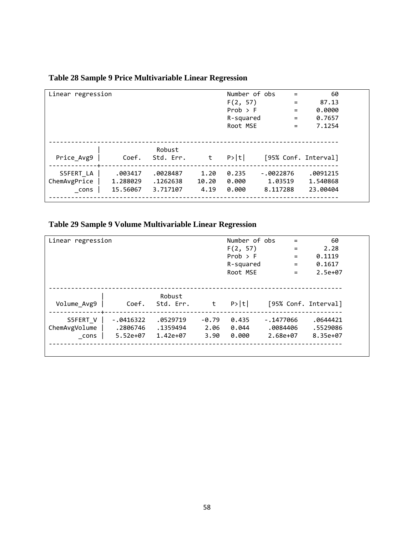| Linear regression                 |                                 |                                  |                       | Number of obs<br>F(2, 57)<br>Prob > F<br>R-squared<br>Root MSE | $\qquad \qquad =$<br>$=$<br>$=$<br>$=$<br>$=$ | 60<br>87.13<br>0.0000<br>0.7657<br>7.1254 |
|-----------------------------------|---------------------------------|----------------------------------|-----------------------|----------------------------------------------------------------|-----------------------------------------------|-------------------------------------------|
| Price Avg9                        | Coef.                           | Robust<br>Std. Err.              | t                     | P> t                                                           |                                               | [95% Conf. Interval]                      |
| S5FERT LA<br>ChemAvgPrice<br>cons | .003417<br>1.288029<br>15.56067 | .0028487<br>.1262638<br>3.717107 | 1.20<br>10.20<br>4.19 | 0.235<br>0.000<br>0.000                                        | $-.0022876$<br>1.03519<br>8.117288            | .0091215<br>1.540868<br>23.00404          |

### <span id="page-67-0"></span>**Table 28 Sample 9 Price Multivariable Linear Regression**

## <span id="page-67-1"></span>**Table 29 Sample 9 Volume Multivariable Linear Regression**

| Linear regression |             |           |         | Number of obs | =                    | 60        |
|-------------------|-------------|-----------|---------|---------------|----------------------|-----------|
|                   |             |           |         | F(2, 57)      | $=$                  | 2.28      |
|                   |             |           |         | Prob > F      | $\qquad \qquad =$    | 0.1119    |
|                   |             |           |         | R-squared     | $=$                  | 0.1617    |
|                   |             |           |         | Root MSE      | $=$                  | $2.5e+07$ |
|                   |             |           |         |               |                      |           |
|                   |             |           |         |               |                      |           |
|                   |             | Robust    |         |               |                      |           |
| Volume Avg9       | Coef.       | Std. Err. | t       | P> t          | [95% Conf. Interval] |           |
| S5FERT V          | $-.0416322$ | .0529719  | $-0.79$ | 0.435         | $-.1477066$          | .0644421  |
| ChemAvgVolume     | .2806746    | .1359494  | 2.06    | 0.044         | .0084406             | .5529086  |